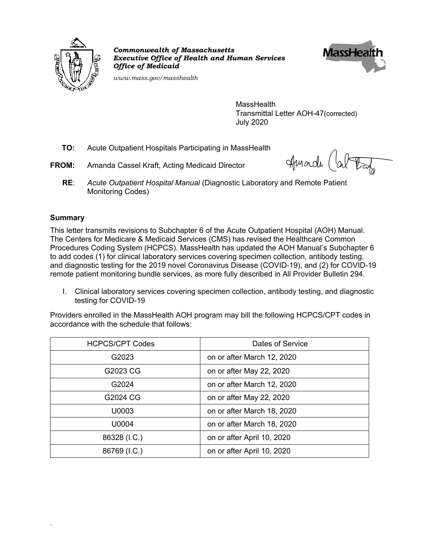

*Commonwealth of Massachusetts Executive Office of Health and Human Services Office of Medicaid*



*www.mass.gov/masshealth*

**MassHealth** Transmittal Letter AOH-47(corrected) July 2020

- **TO:** Acute Outpatient Hospitals Participating in MassHealth
- **FROM:** Amanda Cassel Kraft, Acting Medicaid Director

Amardi

**RE**: *Acute Outpatient Hospital Manual* (Diagnostic Laboratory and Remote Patient Monitoring Codes)

#### **Summary**

`

This letter transmits revisions to Subchapter 6 of the Acute Outpatient Hospital (AOH) Manual. The Centers for Medicare & Medicaid Services (CMS) has revised the Healthcare Common Procedures Coding System (HCPCS). MassHealth has updated the AOH Manual's Subchapter 6 to add codes (1) for clinical laboratory services covering specimen collection, antibody testing, and diagnostic testing for the 2019 novel Coronavirus Disease (COVID-19), and (2) for COVID-19 remote patient monitoring bundle services, as more fully described in All Provider Bulletin 294.

I. Clinical laboratory services covering specimen collection, antibody testing, and diagnostic testing for COVID-19

Providers enrolled in the MassHealth AOH program may bill the following HCPCS/CPT codes in accordance with the schedule that follows:

| <b>HCPCS/CPT Codes</b> | Dates of Service           |
|------------------------|----------------------------|
| G2023                  | on or after March 12, 2020 |
| G2023 CG               | on or after May 22, 2020   |
| G2024                  | on or after March 12, 2020 |
| G2024 CG               | on or after May 22, 2020   |
| U0003                  | on or after March 18, 2020 |
| U0004                  | on or after March 18, 2020 |
| 86328 (I.C.)           | on or after April 10, 2020 |
| 86769 (I.C.)           | on or after April 10, 2020 |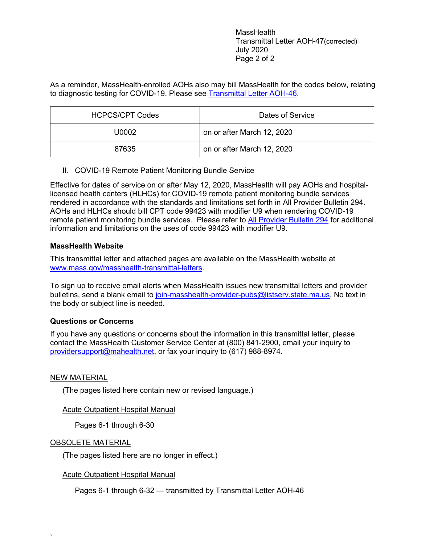MassHealth Transmittal Letter AOH-47(corrected) July 2020 Page 2 of 2

As a reminder, MassHealth-enrolled AOHs also may bill MassHealth for the codes below, relating to diagnostic testing for COVID-19. Please see Transmittal Letter AOH-46.

| <b>HCPCS/CPT Codes</b> | Dates of Service           |
|------------------------|----------------------------|
| U0002                  | on or after March 12, 2020 |
| 87635                  | on or after March 12, 2020 |

II. COVID-19 Remote Patient Monitoring Bundle Service

Effective for dates of service on or after May 12, 2020, MassHealth will pay AOHs and hospitallicensed health centers (HLHCs) for COVID-19 remote patient monitoring bundle services rendered in accordance with the standards and limitations set forth in All Provider Bulletin 294. AOHs and HLHCs should bill CPT code 99423 with modifier U9 when rendering COVID-19 remote patient monitoring bundle services. Please refer to All Provider Bulletin 294 for additional information and limitations on the uses of code 99423 with modifier U9.

### **MassHealth Website**

This transmittal letter and attached pages are available on the MassHealth website at www.mass.gov/masshealth-transmittal-letters.

To sign up to receive email alerts when MassHealth issues new transmittal letters and provider bulletins, send a blank email to join-masshealth-provider-pubs@listserv.state.ma.us. No text in the body or subject line is needed.

### **Questions or Concerns**

If you have any questions or concerns about the information in this transmittal letter, please contact the MassHealth Customer Service Center at (800) 841-2900, email your inquiry to providersupport@mahealth.net, or fax your inquiry to (617) 988-8974.

#### NEW MATERIAL

(The pages listed here contain new or revised language.)

### Acute Outpatient Hospital Manual

Pages 6-1 through 6-30

#### OBSOLETE MATERIAL

`

(The pages listed here are no longer in effect.)

#### Acute Outpatient Hospital Manual

Pages 6-1 through 6-32 — transmitted by Transmittal Letter AOH-46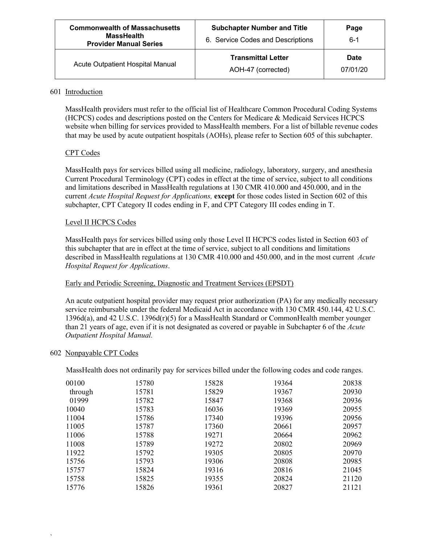| <b>Commonwealth of Massachusetts</b><br><b>MassHealth</b><br><b>Provider Manual Series</b> | <b>Subchapter Number and Title</b><br>6. Service Codes and Descriptions | Page<br>6-1             |
|--------------------------------------------------------------------------------------------|-------------------------------------------------------------------------|-------------------------|
| Acute Outpatient Hospital Manual                                                           | <b>Transmittal Letter</b><br>AOH-47 (corrected)                         | <b>Date</b><br>07/01/20 |

#### 601 Introduction

MassHealth providers must refer to the official list of Healthcare Common Procedural Coding Systems (HCPCS) codes and descriptions posted on the Centers for Medicare & Medicaid Services HCPCS website when billing for services provided to MassHealth members. For a list of billable revenue codes that may be used by acute outpatient hospitals (AOHs), please refer to Section 605 of this subchapter.

#### CPT Codes

MassHealth pays for services billed using all medicine, radiology, laboratory, surgery, and anesthesia Current Procedural Terminology (CPT) codes in effect at the time of service, subject to all conditions and limitations described in MassHealth regulations at 130 CMR 410.000 and 450.000, and in the current *Acute Hospital Request for Applications,* **except** for those codes listed in Section 602 of this subchapter, CPT Category II codes ending in F, and CPT Category III codes ending in T.

#### Level II HCPCS Codes

MassHealth pays for services billed using only those Level II HCPCS codes listed in Section 603 of this subchapter that are in effect at the time of service, subject to all conditions and limitations described in MassHealth regulations at 130 CMR 410.000 and 450.000, and in the most current *Acute Hospital Request for Applications*.

#### Early and Periodic Screening, Diagnostic and Treatment Services (EPSDT)

An acute outpatient hospital provider may request prior authorization (PA) for any medically necessary service reimbursable under the federal Medicaid Act in accordance with 130 CMR 450.144, 42 U.S.C. 1396d(a), and 42 U.S.C. 1396d(r)(5) for a MassHealth Standard or CommonHealth member younger than 21 years of age, even if it is not designated as covered or payable in Subchapter 6 of the *Acute Outpatient Hospital Manual.*

#### 602 Nonpayable CPT Codes

`

MassHealth does not ordinarily pay for services billed under the following codes and code ranges.

| 00100   | 15780 | 15828 | 19364 | 20838 |
|---------|-------|-------|-------|-------|
| through | 15781 | 15829 | 19367 | 20930 |
| 01999   | 15782 | 15847 | 19368 | 20936 |
| 10040   | 15783 | 16036 | 19369 | 20955 |
| 11004   | 15786 | 17340 | 19396 | 20956 |
| 11005   | 15787 | 17360 | 20661 | 20957 |
| 11006   | 15788 | 19271 | 20664 | 20962 |
| 11008   | 15789 | 19272 | 20802 | 20969 |
| 11922   | 15792 | 19305 | 20805 | 20970 |
| 15756   | 15793 | 19306 | 20808 | 20985 |
| 15757   | 15824 | 19316 | 20816 | 21045 |
| 15758   | 15825 | 19355 | 20824 | 21120 |
| 15776   | 15826 | 19361 | 20827 | 21121 |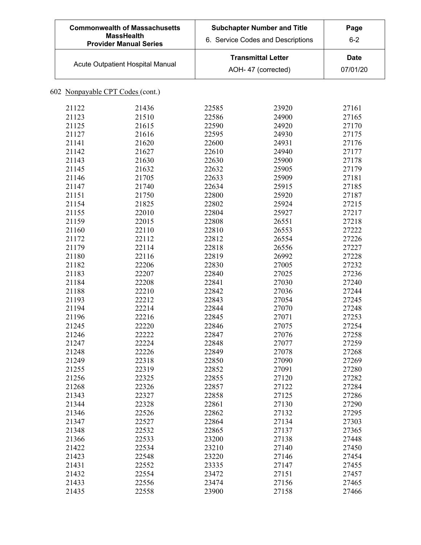| <b>Commonwealth of Massachusetts</b><br><b>MassHealth</b><br><b>Provider Manual Series</b> | <b>Subchapter Number and Title</b><br>6. Service Codes and Descriptions | Page<br>$6 - 2$         |
|--------------------------------------------------------------------------------------------|-------------------------------------------------------------------------|-------------------------|
| Acute Outpatient Hospital Manual                                                           | <b>Transmittal Letter</b><br>AOH-47 (corrected)                         | <b>Date</b><br>07/01/20 |

| 21122 | 21436 | 22585 | 23920 | 27161 |
|-------|-------|-------|-------|-------|
| 21123 | 21510 | 22586 | 24900 | 27165 |
| 21125 | 21615 | 22590 | 24920 | 27170 |
| 21127 | 21616 | 22595 | 24930 | 27175 |
| 21141 | 21620 | 22600 | 24931 | 27176 |
| 21142 | 21627 | 22610 | 24940 | 27177 |
| 21143 | 21630 | 22630 | 25900 | 27178 |
| 21145 | 21632 | 22632 | 25905 | 27179 |
| 21146 | 21705 | 22633 | 25909 | 27181 |
| 21147 | 21740 | 22634 | 25915 | 27185 |
| 21151 | 21750 | 22800 | 25920 | 27187 |
| 21154 | 21825 | 22802 | 25924 | 27215 |
| 21155 | 22010 | 22804 | 25927 | 27217 |
| 21159 | 22015 | 22808 | 26551 | 27218 |
| 21160 | 22110 | 22810 | 26553 | 27222 |
| 21172 | 22112 | 22812 | 26554 | 27226 |
| 21179 | 22114 | 22818 | 26556 | 27227 |
| 21180 | 22116 | 22819 | 26992 | 27228 |
| 21182 | 22206 | 22830 | 27005 | 27232 |
| 21183 | 22207 | 22840 | 27025 | 27236 |
| 21184 | 22208 | 22841 | 27030 | 27240 |
| 21188 | 22210 | 22842 | 27036 | 27244 |
| 21193 | 22212 | 22843 | 27054 | 27245 |
| 21194 | 22214 | 22844 | 27070 | 27248 |
| 21196 | 22216 | 22845 | 27071 | 27253 |
| 21245 | 22220 | 22846 | 27075 | 27254 |
| 21246 | 22222 | 22847 | 27076 | 27258 |
| 21247 | 22224 | 22848 | 27077 | 27259 |
| 21248 | 22226 | 22849 | 27078 | 27268 |
| 21249 | 22318 | 22850 | 27090 | 27269 |
| 21255 | 22319 | 22852 | 27091 | 27280 |
| 21256 | 22325 | 22855 | 27120 | 27282 |
| 21268 | 22326 | 22857 | 27122 | 27284 |
| 21343 | 22327 | 22858 | 27125 | 27286 |
| 21344 | 22328 | 22861 | 27130 | 27290 |
| 21346 | 22526 | 22862 | 27132 | 27295 |
| 21347 | 22527 | 22864 | 27134 | 27303 |
| 21348 | 22532 | 22865 | 27137 | 27365 |
| 21366 | 22533 | 23200 | 27138 | 27448 |
| 21422 | 22534 | 23210 | 27140 | 27450 |
| 21423 | 22548 | 23220 | 27146 | 27454 |
| 21431 | 22552 | 23335 | 27147 | 27455 |
| 21432 | 22554 | 23472 | 27151 | 27457 |
| 21433 | 22556 | 23474 | 27156 | 27465 |
| 21435 | 22558 | 23900 | 27158 | 27466 |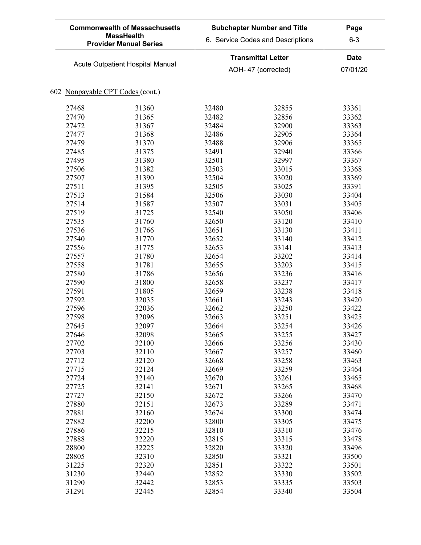| <b>Commonwealth of Massachusetts</b><br><b>MassHealth</b><br><b>Provider Manual Series</b> | <b>Subchapter Number and Title</b><br>6. Service Codes and Descriptions | Page<br>$6 - 3$  |
|--------------------------------------------------------------------------------------------|-------------------------------------------------------------------------|------------------|
| Acute Outpatient Hospital Manual                                                           | <b>Transmittal Letter</b><br>AOH-47 (corrected)                         | Date<br>07/01/20 |

| 27468 | 31360 | 32480 | 32855 | 33361 |
|-------|-------|-------|-------|-------|
| 27470 | 31365 | 32482 | 32856 | 33362 |
| 27472 | 31367 | 32484 | 32900 | 33363 |
| 27477 | 31368 | 32486 | 32905 | 33364 |
| 27479 | 31370 | 32488 | 32906 | 33365 |
| 27485 | 31375 | 32491 | 32940 | 33366 |
| 27495 | 31380 | 32501 | 32997 | 33367 |
| 27506 | 31382 | 32503 | 33015 | 33368 |
| 27507 | 31390 | 32504 | 33020 | 33369 |
| 27511 | 31395 | 32505 | 33025 | 33391 |
| 27513 | 31584 | 32506 | 33030 | 33404 |
| 27514 | 31587 | 32507 | 33031 | 33405 |
| 27519 | 31725 | 32540 | 33050 | 33406 |
| 27535 | 31760 | 32650 | 33120 | 33410 |
| 27536 | 31766 | 32651 | 33130 | 33411 |
| 27540 | 31770 | 32652 | 33140 | 33412 |
| 27556 | 31775 | 32653 | 33141 | 33413 |
| 27557 | 31780 | 32654 | 33202 | 33414 |
| 27558 | 31781 | 32655 | 33203 | 33415 |
| 27580 | 31786 | 32656 | 33236 | 33416 |
| 27590 | 31800 | 32658 | 33237 | 33417 |
| 27591 | 31805 | 32659 | 33238 | 33418 |
| 27592 | 32035 | 32661 | 33243 | 33420 |
| 27596 | 32036 | 32662 | 33250 | 33422 |
| 27598 | 32096 | 32663 | 33251 | 33425 |
| 27645 | 32097 | 32664 | 33254 | 33426 |
| 27646 | 32098 | 32665 | 33255 | 33427 |
| 27702 | 32100 | 32666 | 33256 | 33430 |
| 27703 | 32110 | 32667 | 33257 | 33460 |
| 27712 | 32120 | 32668 | 33258 | 33463 |
| 27715 | 32124 | 32669 | 33259 | 33464 |
| 27724 | 32140 | 32670 | 33261 | 33465 |
| 27725 | 32141 | 32671 | 33265 | 33468 |
| 27727 | 32150 | 32672 | 33266 | 33470 |
| 27880 | 32151 | 32673 | 33289 | 33471 |
| 27881 | 32160 | 32674 | 33300 | 33474 |
| 27882 | 32200 | 32800 | 33305 | 33475 |
| 27886 | 32215 | 32810 | 33310 | 33476 |
| 27888 | 32220 |       |       | 33478 |
|       |       | 32815 | 33315 |       |
| 28800 | 32225 | 32820 | 33320 | 33496 |
| 28805 | 32310 | 32850 | 33321 | 33500 |
| 31225 | 32320 | 32851 | 33322 | 33501 |
| 31230 | 32440 | 32852 | 33330 | 33502 |
| 31290 | 32442 | 32853 | 33335 | 33503 |
| 31291 | 32445 | 32854 | 33340 | 33504 |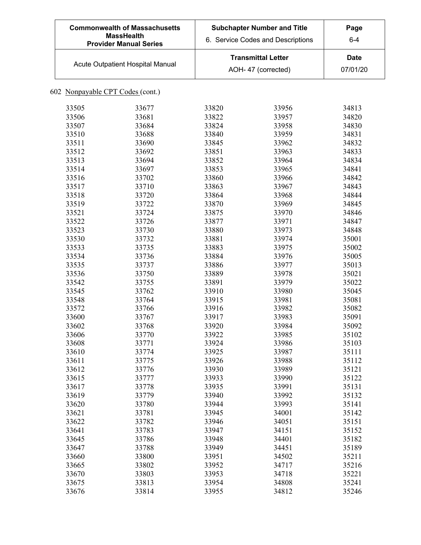| <b>Commonwealth of Massachusetts</b><br><b>MassHealth</b><br><b>Provider Manual Series</b> | <b>Subchapter Number and Title</b><br>6. Service Codes and Descriptions | Page<br>$6 - 4$  |
|--------------------------------------------------------------------------------------------|-------------------------------------------------------------------------|------------------|
| Acute Outpatient Hospital Manual                                                           | <b>Transmittal Letter</b><br>AOH-47 (corrected)                         | Date<br>07/01/20 |

| 33505 | 33677 | 33820 | 33956 | 34813 |
|-------|-------|-------|-------|-------|
| 33506 | 33681 | 33822 | 33957 | 34820 |
| 33507 | 33684 | 33824 | 33958 | 34830 |
| 33510 | 33688 | 33840 | 33959 | 34831 |
| 33511 | 33690 | 33845 | 33962 | 34832 |
| 33512 | 33692 | 33851 | 33963 | 34833 |
| 33513 | 33694 | 33852 | 33964 | 34834 |
| 33514 | 33697 | 33853 | 33965 | 34841 |
| 33516 | 33702 | 33860 | 33966 | 34842 |
| 33517 | 33710 | 33863 | 33967 | 34843 |
| 33518 | 33720 | 33864 | 33968 | 34844 |
| 33519 | 33722 | 33870 | 33969 | 34845 |
| 33521 | 33724 | 33875 | 33970 | 34846 |
| 33522 | 33726 | 33877 | 33971 | 34847 |
| 33523 | 33730 | 33880 | 33973 | 34848 |
| 33530 | 33732 | 33881 | 33974 | 35001 |
| 33533 | 33735 | 33883 | 33975 | 35002 |
| 33534 | 33736 | 33884 | 33976 | 35005 |
| 33535 | 33737 | 33886 | 33977 | 35013 |
| 33536 | 33750 | 33889 | 33978 | 35021 |
| 33542 | 33755 | 33891 | 33979 | 35022 |
| 33545 | 33762 | 33910 | 33980 | 35045 |
| 33548 | 33764 | 33915 | 33981 | 35081 |
| 33572 | 33766 | 33916 | 33982 | 35082 |
| 33600 | 33767 | 33917 | 33983 | 35091 |
| 33602 | 33768 | 33920 | 33984 | 35092 |
| 33606 | 33770 | 33922 | 33985 | 35102 |
| 33608 | 33771 | 33924 | 33986 | 35103 |
| 33610 | 33774 | 33925 | 33987 | 35111 |
| 33611 | 33775 | 33926 | 33988 | 35112 |
| 33612 | 33776 | 33930 | 33989 | 35121 |
| 33615 | 33777 | 33933 | 33990 | 35122 |
| 33617 | 33778 | 33935 | 33991 | 35131 |
| 33619 | 33779 | 33940 | 33992 | 35132 |
| 33620 | 33780 | 33944 | 33993 | 35141 |
| 33621 | 33781 | 33945 | 34001 | 35142 |
| 33622 | 33782 | 33946 | 34051 | 35151 |
| 33641 | 33783 | 33947 | 34151 | 35152 |
| 33645 | 33786 | 33948 | 34401 | 35182 |
| 33647 | 33788 | 33949 | 34451 | 35189 |
| 33660 | 33800 | 33951 | 34502 | 35211 |
| 33665 | 33802 | 33952 | 34717 | 35216 |
| 33670 | 33803 | 33953 | 34718 | 35221 |
| 33675 | 33813 | 33954 | 34808 | 35241 |
| 33676 | 33814 | 33955 | 34812 | 35246 |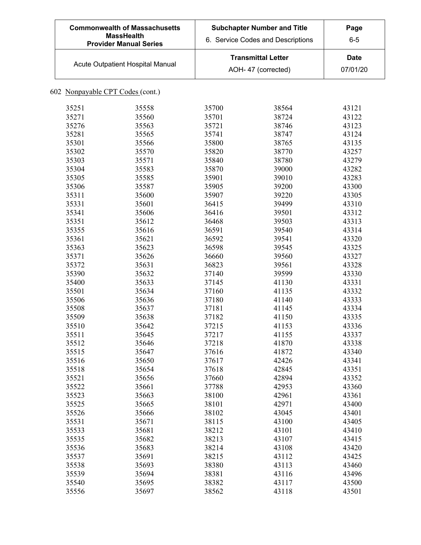| <b>Commonwealth of Massachusetts</b><br><b>MassHealth</b><br><b>Provider Manual Series</b> | <b>Subchapter Number and Title</b><br>6. Service Codes and Descriptions | Page<br>$6 - 5$         |
|--------------------------------------------------------------------------------------------|-------------------------------------------------------------------------|-------------------------|
| Acute Outpatient Hospital Manual                                                           | <b>Transmittal Letter</b><br>AOH-47 (corrected)                         | <b>Date</b><br>07/01/20 |

| 35251 | 35558 | 35700 | 38564 | 43121 |
|-------|-------|-------|-------|-------|
| 35271 | 35560 | 35701 | 38724 | 43122 |
| 35276 | 35563 | 35721 | 38746 | 43123 |
| 35281 | 35565 | 35741 | 38747 | 43124 |
| 35301 | 35566 | 35800 | 38765 | 43135 |
| 35302 | 35570 | 35820 | 38770 | 43257 |
| 35303 | 35571 | 35840 | 38780 | 43279 |
| 35304 | 35583 | 35870 | 39000 | 43282 |
| 35305 | 35585 | 35901 | 39010 | 43283 |
| 35306 | 35587 | 35905 | 39200 | 43300 |
| 35311 | 35600 | 35907 | 39220 | 43305 |
| 35331 | 35601 | 36415 | 39499 | 43310 |
| 35341 | 35606 | 36416 | 39501 | 43312 |
| 35351 | 35612 | 36468 | 39503 | 43313 |
| 35355 | 35616 | 36591 | 39540 | 43314 |
| 35361 | 35621 | 36592 | 39541 | 43320 |
| 35363 | 35623 | 36598 | 39545 | 43325 |
| 35371 | 35626 | 36660 | 39560 | 43327 |
| 35372 | 35631 | 36823 | 39561 | 43328 |
| 35390 | 35632 | 37140 | 39599 | 43330 |
| 35400 | 35633 | 37145 | 41130 | 43331 |
| 35501 | 35634 | 37160 | 41135 | 43332 |
| 35506 | 35636 | 37180 | 41140 | 43333 |
| 35508 | 35637 | 37181 | 41145 | 43334 |
| 35509 | 35638 | 37182 | 41150 | 43335 |
| 35510 | 35642 | 37215 | 41153 | 43336 |
| 35511 | 35645 | 37217 | 41155 | 43337 |
| 35512 | 35646 | 37218 | 41870 | 43338 |
| 35515 | 35647 | 37616 | 41872 | 43340 |
| 35516 | 35650 | 37617 | 42426 | 43341 |
| 35518 | 35654 | 37618 | 42845 | 43351 |
| 35521 | 35656 | 37660 | 42894 | 43352 |
| 35522 | 35661 | 37788 | 42953 | 43360 |
| 35523 | 35663 | 38100 | 42961 | 43361 |
| 35525 | 35665 | 38101 | 42971 | 43400 |
| 35526 | 35666 | 38102 | 43045 | 43401 |
| 35531 | 35671 | 38115 | 43100 | 43405 |
| 35533 | 35681 | 38212 | 43101 | 43410 |
| 35535 | 35682 | 38213 | 43107 | 43415 |
| 35536 | 35683 | 38214 | 43108 | 43420 |
| 35537 | 35691 | 38215 | 43112 | 43425 |
| 35538 | 35693 | 38380 | 43113 | 43460 |
| 35539 | 35694 | 38381 | 43116 | 43496 |
| 35540 | 35695 | 38382 | 43117 | 43500 |
| 35556 | 35697 | 38562 | 43118 | 43501 |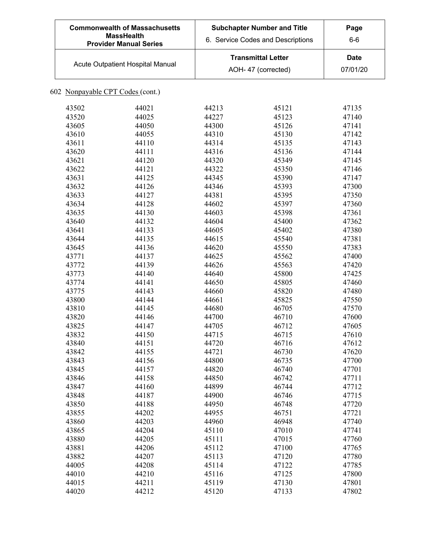| <b>Commonwealth of Massachusetts</b><br><b>MassHealth</b><br><b>Provider Manual Series</b> |                                  |       | <b>Subchapter Number and Title</b><br>6. Service Codes and Descriptions | Page<br>$6-6$ |
|--------------------------------------------------------------------------------------------|----------------------------------|-------|-------------------------------------------------------------------------|---------------|
|                                                                                            |                                  |       | <b>Transmittal Letter</b>                                               | <b>Date</b>   |
|                                                                                            | Acute Outpatient Hospital Manual |       | AOH- 47 (corrected)                                                     | 07/01/20      |
| 602 Nonpayable CPT Codes (cont.)                                                           |                                  |       |                                                                         |               |
| 43502                                                                                      | 44021                            | 44213 | 45121                                                                   | 47135         |
| 43520                                                                                      | 44025                            | 44227 | 45123                                                                   | 47140         |
| 43605                                                                                      | 44050                            | 44300 | 45126                                                                   | 47141         |
| 43610                                                                                      | 44055                            | 44310 | 45130                                                                   | 47142         |
| 43611                                                                                      | 44110                            | 44314 | 45135                                                                   | 47143         |
| 43620                                                                                      | 44111                            | 44316 | 45136                                                                   | 47144         |
| 43621                                                                                      | 44120                            | 44320 | 45349                                                                   | 47145         |
| 43622                                                                                      | 44121                            | 44322 | 45350                                                                   | 47146         |
| 43631                                                                                      | 44125                            | 44345 | 45390                                                                   | 47147         |
| 43632                                                                                      | 44126                            | 44346 | 45393                                                                   | 47300         |
| 43633                                                                                      | 44127                            | 44381 | 45395                                                                   | 47350         |
| 43634                                                                                      | 44128                            | 44602 | 45397                                                                   | 47360         |
| 43635                                                                                      | 44130                            | 44603 | 45398                                                                   | 47361         |
| 43640                                                                                      | 44132                            | 44604 | 45400                                                                   | 47362         |
| 43641                                                                                      | 44133                            | 44605 | 45402                                                                   | 47380         |
| 43644                                                                                      | 44135                            | 44615 | 45540                                                                   | 47381         |
| 43645                                                                                      | 44136                            | 44620 | 45550                                                                   | 47383         |
| 43771                                                                                      | 44137                            | 44625 | 45562                                                                   | 47400         |
| 43772                                                                                      | 44139                            | 44626 | 45563                                                                   | 47420         |
| 43773                                                                                      | 44140                            | 44640 | 45800                                                                   | 47425         |
| 43774                                                                                      | 44141                            | 44650 | 45805                                                                   | 47460         |
|                                                                                            | 44143                            |       |                                                                         |               |
| 43775                                                                                      |                                  | 44660 | 45820                                                                   | 47480         |
| 43800                                                                                      | 44144                            | 44661 | 45825                                                                   | 47550         |
| 43810                                                                                      | 44145                            | 44680 | 46705                                                                   | 47570         |
| 43820                                                                                      | 44146                            | 44700 | 46710                                                                   | 47600         |
| 43825                                                                                      | 44147                            | 44705 | 46712                                                                   | 47605         |
| 43832                                                                                      | 44150                            | 44715 | 46715                                                                   | 47610         |
| 43840                                                                                      | 44151                            | 44720 | 46716                                                                   | 47612         |
| 43842                                                                                      | 44155                            | 44721 | 46730                                                                   | 47620         |
| 43843                                                                                      | 44156                            | 44800 | 46735                                                                   | 47700         |
| 43845                                                                                      | 44157                            | 44820 | 46740                                                                   | 47701         |
| 43846                                                                                      | 44158                            | 44850 | 46742                                                                   | 47711         |
| 43847                                                                                      | 44160                            | 44899 | 46744                                                                   | 47712         |
| 43848                                                                                      | 44187                            | 44900 | 46746                                                                   | 47715         |
| 43850                                                                                      | 44188                            | 44950 | 46748                                                                   | 47720         |
| 43855                                                                                      | 44202                            | 44955 | 46751                                                                   | 47721         |
| 43860                                                                                      | 44203                            | 44960 | 46948                                                                   | 47740         |
| 43865                                                                                      | 44204                            | 45110 | 47010                                                                   | 47741         |
| 43880                                                                                      | 44205                            | 45111 | 47015                                                                   | 47760         |
| 43881                                                                                      | 44206                            | 45112 | 47100                                                                   | 47765         |
| 43882                                                                                      | 44207                            | 45113 | 47120                                                                   | 47780         |
| 44005                                                                                      | 44208                            | 45114 | 47122                                                                   | 47785         |
| 44010                                                                                      | 44210                            | 45116 | 47125                                                                   | 47800         |
| 44015                                                                                      | 44211                            | 45119 | 47130                                                                   | 47801         |
| 44020                                                                                      | 44212                            | 45120 | 47133                                                                   | 47802         |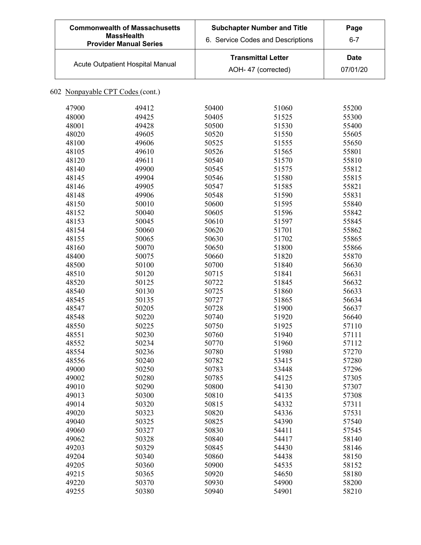| <b>Commonwealth of Massachusetts</b><br><b>MassHealth</b><br><b>Provider Manual Series</b> | <b>Subchapter Number and Title</b><br>6. Service Codes and Descriptions | Page<br>$6 - 7$  |
|--------------------------------------------------------------------------------------------|-------------------------------------------------------------------------|------------------|
| Acute Outpatient Hospital Manual                                                           | <b>Transmittal Letter</b><br>AOH-47 (corrected)                         | Date<br>07/01/20 |

| 47900 | 49412 | 50400 | 51060 | 55200 |
|-------|-------|-------|-------|-------|
| 48000 | 49425 | 50405 | 51525 | 55300 |
| 48001 | 49428 | 50500 | 51530 | 55400 |
| 48020 | 49605 | 50520 | 51550 | 55605 |
| 48100 | 49606 | 50525 | 51555 | 55650 |
| 48105 | 49610 | 50526 | 51565 | 55801 |
| 48120 | 49611 | 50540 | 51570 | 55810 |
| 48140 | 49900 | 50545 | 51575 | 55812 |
| 48145 | 49904 | 50546 | 51580 | 55815 |
| 48146 | 49905 | 50547 | 51585 | 55821 |
| 48148 | 49906 | 50548 | 51590 | 55831 |
| 48150 | 50010 | 50600 | 51595 | 55840 |
| 48152 | 50040 | 50605 | 51596 | 55842 |
| 48153 | 50045 | 50610 | 51597 | 55845 |
| 48154 | 50060 | 50620 | 51701 | 55862 |
| 48155 | 50065 | 50630 | 51702 | 55865 |
| 48160 | 50070 | 50650 | 51800 | 55866 |
| 48400 | 50075 | 50660 | 51820 | 55870 |
| 48500 | 50100 | 50700 | 51840 | 56630 |
| 48510 | 50120 | 50715 | 51841 | 56631 |
| 48520 | 50125 | 50722 | 51845 | 56632 |
| 48540 | 50130 | 50725 | 51860 | 56633 |
| 48545 | 50135 | 50727 | 51865 | 56634 |
| 48547 | 50205 | 50728 | 51900 | 56637 |
| 48548 | 50220 | 50740 | 51920 | 56640 |
| 48550 | 50225 | 50750 | 51925 | 57110 |
| 48551 | 50230 | 50760 | 51940 | 57111 |
| 48552 | 50234 | 50770 | 51960 | 57112 |
| 48554 | 50236 | 50780 | 51980 | 57270 |
| 48556 | 50240 | 50782 | 53415 | 57280 |
| 49000 | 50250 | 50783 | 53448 | 57296 |
| 49002 | 50280 | 50785 | 54125 | 57305 |
| 49010 | 50290 | 50800 | 54130 | 57307 |
| 49013 | 50300 | 50810 | 54135 | 57308 |
| 49014 | 50320 | 50815 | 54332 | 57311 |
| 49020 | 50323 | 50820 | 54336 | 57531 |
| 49040 | 50325 | 50825 | 54390 | 57540 |
| 49060 | 50327 | 50830 | 54411 | 57545 |
| 49062 | 50328 | 50840 | 54417 | 58140 |
| 49203 | 50329 | 50845 | 54430 | 58146 |
| 49204 | 50340 | 50860 | 54438 | 58150 |
| 49205 | 50360 | 50900 | 54535 | 58152 |
| 49215 | 50365 | 50920 | 54650 | 58180 |
| 49220 | 50370 | 50930 | 54900 | 58200 |
| 49255 | 50380 | 50940 | 54901 | 58210 |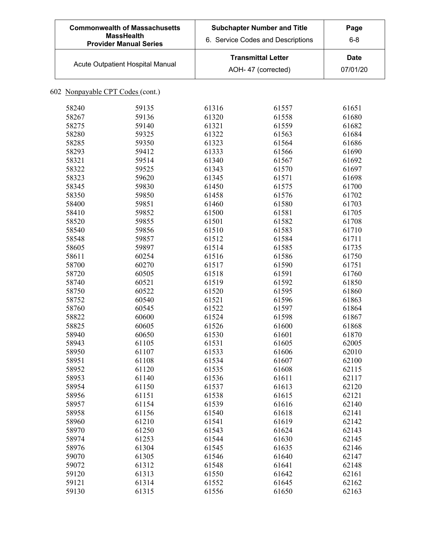| <b>Commonwealth of Massachusetts</b><br><b>MassHealth</b><br><b>Provider Manual Series</b> |                                  |       | <b>Subchapter Number and Title</b><br>6. Service Codes and Descriptions | Page<br>$6 - 8$ |
|--------------------------------------------------------------------------------------------|----------------------------------|-------|-------------------------------------------------------------------------|-----------------|
|                                                                                            |                                  |       | <b>Transmittal Letter</b>                                               | <b>Date</b>     |
|                                                                                            | Acute Outpatient Hospital Manual |       | AOH- 47 (corrected)                                                     | 07/01/20        |
| 602 Nonpayable CPT Codes (cont.)                                                           |                                  |       |                                                                         |                 |
| 58240                                                                                      | 59135                            | 61316 | 61557                                                                   | 61651           |
| 58267                                                                                      | 59136                            | 61320 | 61558                                                                   | 61680           |
| 58275                                                                                      | 59140                            | 61321 | 61559                                                                   | 61682           |
| 58280                                                                                      | 59325                            | 61322 | 61563                                                                   | 61684           |
| 58285                                                                                      | 59350                            | 61323 | 61564                                                                   | 61686           |
| 58293                                                                                      | 59412                            | 61333 | 61566                                                                   | 61690           |
| 58321                                                                                      | 59514                            | 61340 | 61567                                                                   | 61692           |
| 58322                                                                                      | 59525                            | 61343 | 61570                                                                   | 61697           |
| 58323                                                                                      | 59620                            | 61345 | 61571                                                                   | 61698           |
| 58345                                                                                      | 59830                            | 61450 | 61575                                                                   | 61700           |
| 58350                                                                                      | 59850                            | 61458 | 61576                                                                   | 61702           |
| 58400                                                                                      |                                  |       |                                                                         |                 |
|                                                                                            | 59851                            | 61460 | 61580                                                                   | 61703           |
| 58410                                                                                      | 59852                            | 61500 | 61581                                                                   | 61705           |
| 58520                                                                                      | 59855                            | 61501 | 61582                                                                   | 61708           |
| 58540                                                                                      | 59856                            | 61510 | 61583                                                                   | 61710           |
| 58548                                                                                      | 59857                            | 61512 | 61584                                                                   | 61711           |
| 58605                                                                                      | 59897                            | 61514 | 61585                                                                   | 61735           |
| 58611                                                                                      | 60254                            | 61516 | 61586                                                                   | 61750           |
| 58700                                                                                      | 60270                            | 61517 | 61590                                                                   | 61751           |
| 58720                                                                                      | 60505                            | 61518 | 61591                                                                   | 61760           |
| 58740                                                                                      | 60521                            | 61519 | 61592                                                                   | 61850           |
| 58750                                                                                      | 60522                            | 61520 | 61595                                                                   | 61860           |
| 58752                                                                                      | 60540                            | 61521 | 61596                                                                   | 61863           |
| 58760                                                                                      | 60545                            | 61522 | 61597                                                                   | 61864           |
| 58822                                                                                      | 60600                            | 61524 | 61598                                                                   | 61867           |
| 58825                                                                                      | 60605                            | 61526 | 61600                                                                   | 61868           |
| 58940                                                                                      | 60650                            | 61530 | 61601                                                                   | 61870           |
| 58943                                                                                      | 61105                            | 61531 | 61605                                                                   | 62005           |
| 58950                                                                                      | 61107                            | 61533 | 61606                                                                   | 62010           |
| 58951                                                                                      | 61108                            | 61534 | 61607                                                                   | 62100           |
| 58952                                                                                      | 61120                            | 61535 | 61608                                                                   | 62115           |
| 58953                                                                                      | 61140                            | 61536 | 61611                                                                   | 62117           |
| 58954                                                                                      | 61150                            | 61537 | 61613                                                                   | 62120           |
| 58956                                                                                      | 61151                            | 61538 | 61615                                                                   | 62121           |
| 58957                                                                                      | 61154                            | 61539 | 61616                                                                   | 62140           |
| 58958                                                                                      | 61156                            | 61540 | 61618                                                                   | 62141           |
| 58960                                                                                      | 61210                            | 61541 | 61619                                                                   | 62142           |
| 58970                                                                                      | 61250                            | 61543 | 61624                                                                   | 62143           |
| 58974                                                                                      | 61253                            | 61544 | 61630                                                                   | 62145           |
| 58976                                                                                      | 61304                            | 61545 | 61635                                                                   | 62146           |
| 59070                                                                                      | 61305                            | 61546 | 61640                                                                   | 62147           |
| 59072                                                                                      | 61312                            | 61548 | 61641                                                                   | 62148           |
| 59120                                                                                      | 61313                            | 61550 | 61642                                                                   | 62161           |
| 59121                                                                                      | 61314                            | 61552 | 61645                                                                   | 62162           |
| 59130                                                                                      | 61315                            | 61556 | 61650                                                                   | 62163           |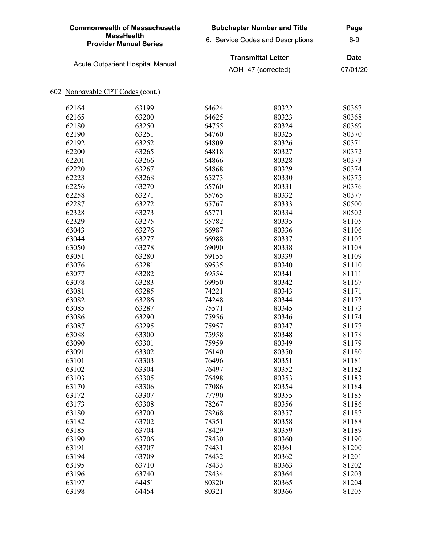| <b>Commonwealth of Massachusetts</b><br><b>MassHealth</b><br><b>Provider Manual Series</b> | <b>Subchapter Number and Title</b><br>6. Service Codes and Descriptions | Page<br>$6-9$    |
|--------------------------------------------------------------------------------------------|-------------------------------------------------------------------------|------------------|
| Acute Outpatient Hospital Manual                                                           | <b>Transmittal Letter</b><br>AOH-47 (corrected)                         | Date<br>07/01/20 |

| 62164 | 63199 | 64624 | 80322 | 80367 |
|-------|-------|-------|-------|-------|
| 62165 | 63200 | 64625 | 80323 | 80368 |
| 62180 | 63250 | 64755 | 80324 | 80369 |
| 62190 | 63251 | 64760 | 80325 | 80370 |
| 62192 | 63252 | 64809 | 80326 | 80371 |
| 62200 | 63265 | 64818 | 80327 | 80372 |
| 62201 | 63266 | 64866 | 80328 | 80373 |
| 62220 | 63267 | 64868 | 80329 | 80374 |
| 62223 | 63268 | 65273 | 80330 | 80375 |
| 62256 | 63270 | 65760 | 80331 | 80376 |
| 62258 | 63271 | 65765 | 80332 | 80377 |
| 62287 | 63272 | 65767 | 80333 | 80500 |
| 62328 | 63273 | 65771 | 80334 | 80502 |
| 62329 | 63275 | 65782 | 80335 | 81105 |
| 63043 | 63276 | 66987 | 80336 | 81106 |
| 63044 | 63277 | 66988 | 80337 | 81107 |
| 63050 | 63278 | 69090 | 80338 | 81108 |
| 63051 | 63280 | 69155 | 80339 | 81109 |
| 63076 | 63281 | 69535 | 80340 | 81110 |
| 63077 | 63282 | 69554 | 80341 | 81111 |
| 63078 | 63283 | 69950 | 80342 | 81167 |
| 63081 | 63285 | 74221 | 80343 | 81171 |
| 63082 | 63286 | 74248 | 80344 | 81172 |
| 63085 | 63287 | 75571 | 80345 | 81173 |
| 63086 | 63290 | 75956 | 80346 | 81174 |
| 63087 | 63295 | 75957 | 80347 | 81177 |
| 63088 | 63300 | 75958 | 80348 | 81178 |
| 63090 | 63301 | 75959 | 80349 | 81179 |
| 63091 | 63302 | 76140 | 80350 | 81180 |
| 63101 | 63303 | 76496 | 80351 | 81181 |
| 63102 | 63304 | 76497 | 80352 | 81182 |
| 63103 | 63305 | 76498 | 80353 | 81183 |
| 63170 | 63306 | 77086 | 80354 | 81184 |
| 63172 | 63307 | 77790 | 80355 | 81185 |
| 63173 | 63308 | 78267 | 80356 | 81186 |
| 63180 | 63700 | 78268 | 80357 | 81187 |
| 63182 | 63702 | 78351 | 80358 | 81188 |
| 63185 | 63704 | 78429 | 80359 | 81189 |
| 63190 | 63706 | 78430 | 80360 | 81190 |
| 63191 | 63707 | 78431 | 80361 | 81200 |
| 63194 | 63709 | 78432 | 80362 | 81201 |
| 63195 | 63710 | 78433 | 80363 | 81202 |
| 63196 | 63740 | 78434 | 80364 | 81203 |
| 63197 | 64451 | 80320 | 80365 | 81204 |
| 63198 | 64454 | 80321 | 80366 | 81205 |
|       |       |       |       |       |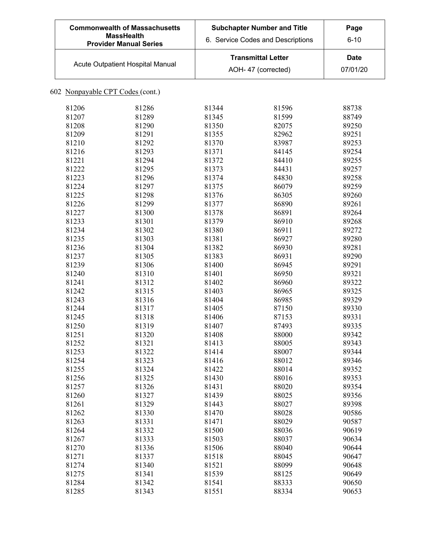| <b>Commonwealth of Massachusetts</b><br><b>MassHealth</b><br><b>Provider Manual Series</b> | <b>Subchapter Number and Title</b><br>6. Service Codes and Descriptions | Page<br>$6 - 10$ |
|--------------------------------------------------------------------------------------------|-------------------------------------------------------------------------|------------------|
| <b>Acute Outpatient Hospital Manual</b>                                                    | <b>Transmittal Letter</b><br>AOH-47 (corrected)                         | Date<br>07/01/20 |

| 81206 | 81286 | 81344 | 81596 | 88738 |
|-------|-------|-------|-------|-------|
| 81207 | 81289 | 81345 | 81599 | 88749 |
| 81208 | 81290 | 81350 | 82075 | 89250 |
| 81209 | 81291 | 81355 | 82962 | 89251 |
| 81210 | 81292 | 81370 | 83987 | 89253 |
| 81216 | 81293 | 81371 | 84145 | 89254 |
| 81221 | 81294 | 81372 | 84410 | 89255 |
| 81222 | 81295 | 81373 | 84431 | 89257 |
| 81223 | 81296 | 81374 | 84830 | 89258 |
| 81224 | 81297 | 81375 | 86079 | 89259 |
| 81225 | 81298 | 81376 | 86305 | 89260 |
| 81226 | 81299 | 81377 | 86890 | 89261 |
| 81227 | 81300 | 81378 | 86891 | 89264 |
| 81233 | 81301 | 81379 | 86910 | 89268 |
| 81234 | 81302 | 81380 | 86911 | 89272 |
| 81235 | 81303 | 81381 | 86927 | 89280 |
| 81236 | 81304 | 81382 | 86930 | 89281 |
| 81237 | 81305 | 81383 | 86931 | 89290 |
| 81239 | 81306 | 81400 | 86945 | 89291 |
| 81240 | 81310 | 81401 | 86950 | 89321 |
| 81241 | 81312 | 81402 | 86960 | 89322 |
| 81242 | 81315 | 81403 | 86965 | 89325 |
| 81243 | 81316 | 81404 | 86985 | 89329 |
| 81244 | 81317 | 81405 | 87150 | 89330 |
| 81245 | 81318 | 81406 | 87153 | 89331 |
| 81250 | 81319 | 81407 | 87493 | 89335 |
| 81251 | 81320 | 81408 | 88000 | 89342 |
| 81252 | 81321 | 81413 | 88005 | 89343 |
| 81253 | 81322 | 81414 | 88007 | 89344 |
| 81254 | 81323 | 81416 | 88012 | 89346 |
| 81255 | 81324 | 81422 | 88014 | 89352 |
| 81256 | 81325 | 81430 | 88016 | 89353 |
| 81257 | 81326 | 81431 | 88020 | 89354 |
| 81260 | 81327 | 81439 | 88025 | 89356 |
| 81261 | 81329 | 81443 | 88027 | 89398 |
| 81262 | 81330 | 81470 | 88028 | 90586 |
| 81263 | 81331 | 81471 | 88029 | 90587 |
| 81264 | 81332 | 81500 | 88036 | 90619 |
| 81267 | 81333 | 81503 | 88037 | 90634 |
| 81270 | 81336 | 81506 | 88040 | 90644 |
| 81271 | 81337 | 81518 | 88045 | 90647 |
| 81274 | 81340 | 81521 | 88099 | 90648 |
| 81275 | 81341 | 81539 | 88125 | 90649 |
| 81284 | 81342 | 81541 | 88333 | 90650 |
| 81285 | 81343 | 81551 | 88334 | 90653 |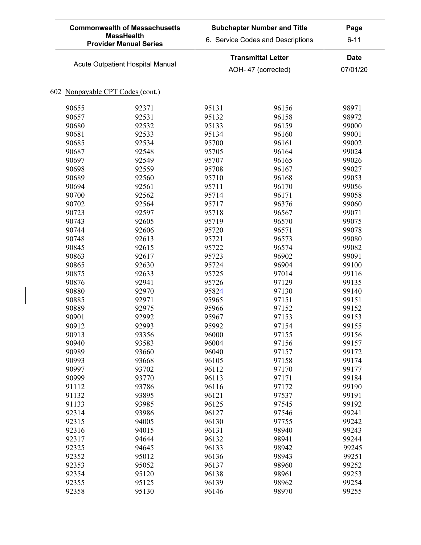| <b>Commonwealth of Massachusetts</b><br><b>MassHealth</b><br><b>Provider Manual Series</b> | <b>Subchapter Number and Title</b><br>6. Service Codes and Descriptions | Page<br>$6 - 11$        |
|--------------------------------------------------------------------------------------------|-------------------------------------------------------------------------|-------------------------|
| <b>Acute Outpatient Hospital Manual</b>                                                    | <b>Transmittal Letter</b><br>AOH-47 (corrected)                         | <b>Date</b><br>07/01/20 |

| 90655 | 92371 | 95131 | 96156 | 98971 |
|-------|-------|-------|-------|-------|
| 90657 | 92531 | 95132 | 96158 | 98972 |
| 90680 | 92532 | 95133 | 96159 | 99000 |
| 90681 | 92533 | 95134 | 96160 | 99001 |
| 90685 | 92534 | 95700 | 96161 | 99002 |
| 90687 | 92548 | 95705 | 96164 | 99024 |
| 90697 | 92549 | 95707 | 96165 | 99026 |
| 90698 | 92559 | 95708 | 96167 | 99027 |
| 90689 | 92560 | 95710 | 96168 | 99053 |
| 90694 | 92561 | 95711 | 96170 | 99056 |
| 90700 | 92562 | 95714 | 96171 | 99058 |
| 90702 | 92564 | 95717 | 96376 | 99060 |
| 90723 | 92597 | 95718 | 96567 | 99071 |
| 90743 | 92605 | 95719 | 96570 | 99075 |
| 90744 | 92606 | 95720 | 96571 | 99078 |
| 90748 | 92613 | 95721 | 96573 | 99080 |
| 90845 | 92615 | 95722 | 96574 | 99082 |
| 90863 | 92617 | 95723 | 96902 | 99091 |
| 90865 | 92630 | 95724 | 96904 | 99100 |
| 90875 | 92633 | 95725 | 97014 | 99116 |
| 90876 | 92941 | 95726 | 97129 | 99135 |
| 90880 | 92970 | 95824 | 97130 | 99140 |
| 90885 | 92971 | 95965 | 97151 | 99151 |
| 90889 | 92975 | 95966 | 97152 | 99152 |
| 90901 | 92992 | 95967 | 97153 | 99153 |
| 90912 | 92993 | 95992 | 97154 | 99155 |
| 90913 | 93356 | 96000 | 97155 | 99156 |
| 90940 | 93583 | 96004 | 97156 | 99157 |
| 90989 | 93660 | 96040 | 97157 | 99172 |
| 90993 | 93668 | 96105 | 97158 | 99174 |
| 90997 | 93702 | 96112 | 97170 | 99177 |
| 90999 | 93770 | 96113 | 97171 | 99184 |
| 91112 | 93786 | 96116 | 97172 | 99190 |
| 91132 | 93895 | 96121 | 97537 | 99191 |
| 91133 | 93985 | 96125 | 97545 | 99192 |
| 92314 | 93986 | 96127 | 97546 | 99241 |
| 92315 | 94005 | 96130 | 97755 | 99242 |
| 92316 | 94015 | 96131 | 98940 | 99243 |
| 92317 | 94644 | 96132 | 98941 | 99244 |
| 92325 | 94645 | 96133 | 98942 | 99245 |
| 92352 | 95012 | 96136 | 98943 | 99251 |
| 92353 | 95052 | 96137 | 98960 | 99252 |
| 92354 | 95120 | 96138 | 98961 | 99253 |
| 92355 | 95125 | 96139 | 98962 | 99254 |
| 92358 | 95130 | 96146 | 98970 | 99255 |
|       |       |       |       |       |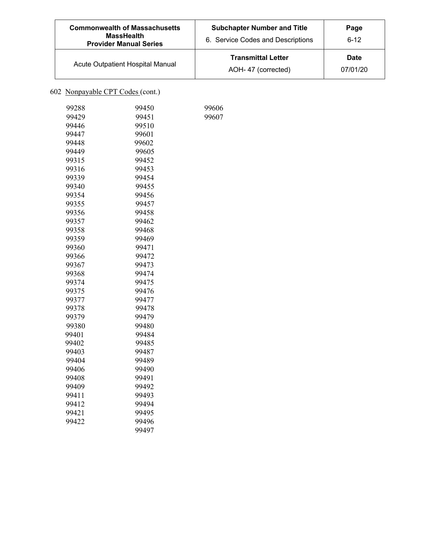| <b>Commonwealth of Massachusetts</b><br><b>MassHealth</b><br><b>Provider Manual Series</b> | <b>Subchapter Number and Title</b><br>6. Service Codes and Descriptions | Page<br>$6-12$          |
|--------------------------------------------------------------------------------------------|-------------------------------------------------------------------------|-------------------------|
| Acute Outpatient Hospital Manual                                                           | <b>Transmittal Letter</b><br>AOH-47 (corrected)                         | <b>Date</b><br>07/01/20 |

 

| 99288 | 99450 |
|-------|-------|
| 99429 | 99451 |
| 99446 | 99510 |
| 99447 | 99601 |
| 99448 | 99602 |
| 99449 | 99605 |
| 99315 | 99452 |
| 99316 | 99453 |
| 99339 | 99454 |
| 99340 | 99455 |
| 99354 | 99456 |
| 99355 | 99457 |
| 99356 | 99458 |
| 99357 | 99462 |
| 99358 | 99468 |
| 99359 | 99469 |
| 99360 | 99471 |
| 99366 | 99472 |
| 99367 | 99473 |
| 99368 | 99474 |
| 99374 | 99475 |
| 99375 | 99476 |
| 99377 | 99477 |
| 99378 | 99478 |
| 99379 | 99479 |
| 99380 | 99480 |
| 99401 | 99484 |
| 99402 | 99485 |
| 99403 | 99487 |
| 99404 | 99489 |
| 99406 | 99490 |
| 99408 | 99491 |
| 99409 | 99492 |
| 99411 | 99493 |
| 99412 | 99494 |
| 99421 | 99495 |
| 99422 | 99496 |
|       | 99497 |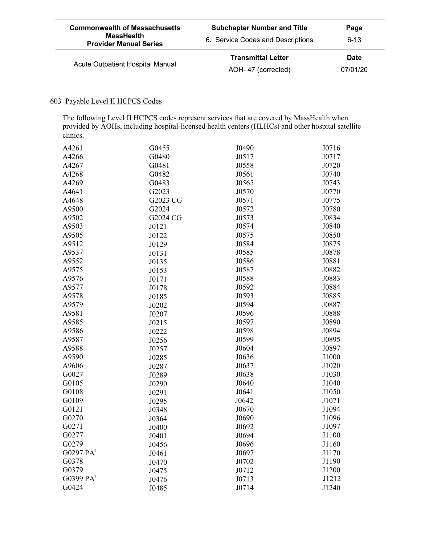| <b>Commonwealth of Massachusetts</b><br><b>MassHealth</b><br><b>Provider Manual Series</b> | <b>Subchapter Number and Title</b><br>6. Service Codes and Descriptions | Page<br>$6 - 13$        |
|--------------------------------------------------------------------------------------------|-------------------------------------------------------------------------|-------------------------|
| Acute Outpatient Hospital Manual                                                           | <b>Transmittal Letter</b><br>AOH-47 (corrected)                         | <b>Date</b><br>07/01/20 |

### 603 Payable Level II HCPCS Codes

The following Level II HCPCS codes represent services that are covered by MassHealth when provided by AOHs, including hospital-licensed health centers (HLHCs) and other hospital satellite clinics.

| A4261         | G0455    | J0490 | J0716 |
|---------------|----------|-------|-------|
| A4266         | G0480    | J0517 | J0717 |
| A4267         | G0481    | J0558 | J0720 |
| A4268         | G0482    | J0561 | J0740 |
| A4269         | G0483    | J0565 | J0743 |
| A4641         | G2023    | J0570 | J0770 |
| A4648         | G2023 CG | J0571 | J0775 |
| A9500         | G2024    | J0572 | J0780 |
| A9502         | G2024 CG | J0573 | J0834 |
| A9503         | J0121    | J0574 | J0840 |
| A9505         | J0122    | J0575 | J0850 |
| A9512         | J0129    | J0584 | J0875 |
| A9537         | J0131    | J0585 | J0878 |
| A9552         | J0135    | J0586 | J0881 |
| A9575         | J0153    | J0587 | J0882 |
| A9576         | J0171    | J0588 | J0883 |
| A9577         | J0178    | J0592 | J0884 |
| A9578         | J0185    | J0593 | J0885 |
| A9579         | J0202    | J0594 | J0887 |
| A9581         | J0207    | J0596 | J0888 |
| A9585         | J0215    | J0597 | J0890 |
| A9586         | J0222    | J0598 | J0894 |
| A9587         | J0256    | J0599 | J0895 |
| A9588         | J0257    | J0604 | J0897 |
| A9590         | J0285    | J0636 | J1000 |
| A9606         | J0287    | J0637 | J1020 |
| G0027         | J0289    | J0638 | J1030 |
| G0105         | J0290    | J0640 | J1040 |
| G0108         | J0291    | J0641 | J1050 |
| G0109         | J0295    | J0642 | J1071 |
| G0121         | J0348    | J0670 | J1094 |
| G0270         | J0364    | J0690 | J1096 |
| G0271         | J0400    | J0692 | J1097 |
| G0277         | J0401    | J0694 | J1100 |
| G0279         | J0456    | J0696 | J1160 |
| $G0297$ $PA1$ | J0461    | J0697 | J1170 |
| G0378         | J0470    | J0702 | J1190 |
| G0379         | J0475    | J0712 | J1200 |
| G0399 $PA1$   | J0476    | J0713 | J1212 |
| G0424         | J0485    | J0714 | J1240 |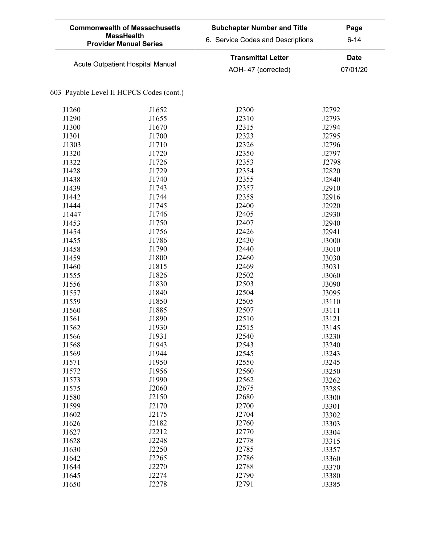| <b>Commonwealth of Massachusetts</b><br><b>MassHealth</b><br><b>Provider Manual Series</b> | <b>Subchapter Number and Title</b><br>6. Service Codes and Descriptions | Page<br>$6 - 14$ |
|--------------------------------------------------------------------------------------------|-------------------------------------------------------------------------|------------------|
| Acute Outpatient Hospital Manual                                                           | <b>Transmittal Letter</b><br>AOH-47 (corrected)                         | Date<br>07/01/20 |

# 603 Payable Level II HCPCS Codes (cont.)

| J1260 | J1652 | J2300 | J2792 |
|-------|-------|-------|-------|
| J1290 | J1655 | J2310 | J2793 |
| J1300 | J1670 | J2315 | J2794 |
| J1301 | J1700 | J2323 | J2795 |
| J1303 | J1710 | J2326 | J2796 |
| J1320 | J1720 | J2350 | J2797 |
| J1322 | J1726 | J2353 | J2798 |
| J1428 | J1729 | J2354 | J2820 |
| J1438 | J1740 | J2355 | J2840 |
| J1439 | J1743 | J2357 | J2910 |
| J1442 | J1744 | J2358 | J2916 |
| J1444 | J1745 | J2400 | J2920 |
| J1447 | J1746 | J2405 | J2930 |
| J1453 | J1750 | J2407 | J2940 |
| J1454 | J1756 | J2426 | J2941 |
| J1455 | J1786 | J2430 | J3000 |
| J1458 | J1790 | J2440 | J3010 |
| J1459 | J1800 | J2460 | J3030 |
| J1460 | J1815 | J2469 | J3031 |
| J1555 | J1826 | J2502 | J3060 |
| J1556 | J1830 | J2503 | J3090 |
| J1557 | J1840 | J2504 | J3095 |
| J1559 | J1850 | J2505 | J3110 |
| J1560 | J1885 | J2507 | J3111 |
| J1561 | J1890 | J2510 | J3121 |
| J1562 | J1930 | J2515 | J3145 |
| J1566 | J1931 | J2540 | J3230 |
| J1568 | J1943 | J2543 | J3240 |
| J1569 | J1944 | J2545 | J3243 |
| J1571 | J1950 | J2550 | J3245 |
| J1572 | J1956 | J2560 | J3250 |
| J1573 | J1990 | J2562 | J3262 |
| J1575 | J2060 | J2675 | J3285 |
| J1580 | J2150 | J2680 | J3300 |
| J1599 | J2170 | J2700 | J3301 |
| J1602 | J2175 | J2704 | J3302 |
| J1626 | J2182 | J2760 | J3303 |
| J1627 | J2212 | J2770 | J3304 |
| J1628 | J2248 | J2778 | J3315 |
| J1630 | J2250 | J2785 | J3357 |
| J1642 | J2265 | J2786 | J3360 |
| J1644 | J2270 | J2788 | J3370 |
| J1645 | J2274 | J2790 | J3380 |
| J1650 | J2278 | J2791 | J3385 |
|       |       |       |       |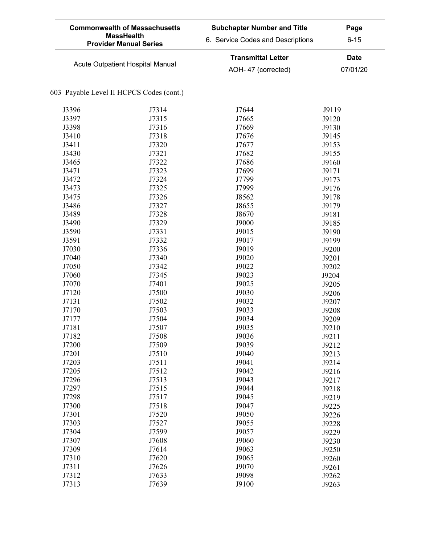| <b>Commonwealth of Massachusetts</b><br><b>MassHealth</b><br><b>Provider Manual Series</b> | <b>Subchapter Number and Title</b><br>6. Service Codes and Descriptions | Page<br>$6 - 15$        |
|--------------------------------------------------------------------------------------------|-------------------------------------------------------------------------|-------------------------|
| Acute Outpatient Hospital Manual                                                           | <b>Transmittal Letter</b><br>AOH-47 (corrected)                         | <b>Date</b><br>07/01/20 |

# 603 Payable Level II HCPCS Codes (cont.)

| J3396 | J7314 | J7644 | J9119 |
|-------|-------|-------|-------|
| J3397 | J7315 | J7665 | J9120 |
| J3398 | J7316 | J7669 | J9130 |
| J3410 | J7318 | J7676 | J9145 |
| J3411 | J7320 | J7677 | J9153 |
| J3430 | J7321 | J7682 | J9155 |
| J3465 | J7322 | J7686 | J9160 |
| J3471 | J7323 | J7699 | J9171 |
| J3472 | J7324 | J7799 | J9173 |
| J3473 | J7325 | J7999 | J9176 |
| J3475 | J7326 | J8562 | J9178 |
| J3486 | J7327 | J8655 | J9179 |
| J3489 | J7328 | J8670 | J9181 |
| J3490 | J7329 | J9000 | J9185 |
| J3590 | J7331 | J9015 | J9190 |
| J3591 | J7332 | J9017 | J9199 |
| J7030 | J7336 | J9019 | J9200 |
| J7040 | J7340 | J9020 | J9201 |
| J7050 | J7342 | J9022 | J9202 |
| J7060 | J7345 | J9023 | J9204 |
| J7070 | J7401 | J9025 | J9205 |
| J7120 | J7500 | J9030 | J9206 |
| J7131 | J7502 | J9032 | J9207 |
| J7170 | J7503 | J9033 | J9208 |
| J7177 | J7504 | J9034 |       |
| J7181 | J7507 | J9035 | J9209 |
| J7182 | J7508 | J9036 | J9210 |
|       |       |       | J9211 |
| J7200 | J7509 | J9039 | J9212 |
| J7201 | J7510 | J9040 | J9213 |
| J7203 | J7511 | J9041 | J9214 |
| J7205 | J7512 | J9042 | J9216 |
| J7296 | J7513 | J9043 | J9217 |
| J7297 | J7515 | J9044 | J9218 |
| J7298 | J7517 | J9045 | J9219 |
| J7300 | J7518 | J9047 | J9225 |
| J7301 | J7520 | J9050 | J9226 |
| J7303 | J7527 | J9055 | J9228 |
| J7304 | J7599 | J9057 | J9229 |
| J7307 | J7608 | J9060 | J9230 |
| J7309 | J7614 | J9063 | J9250 |
| J7310 | J7620 | J9065 | J9260 |
| J7311 | J7626 | J9070 | J9261 |
| J7312 | J7633 | J9098 | J9262 |
| J7313 | J7639 | J9100 | J9263 |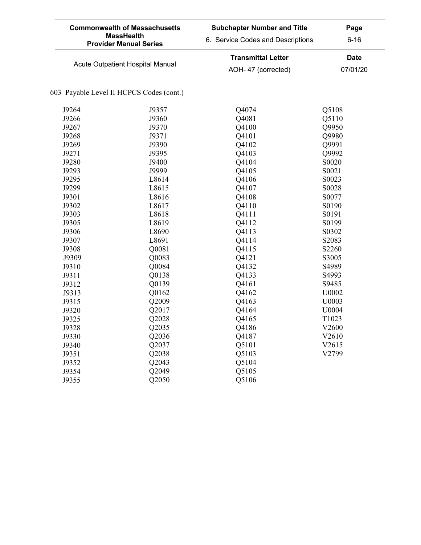| <b>Commonwealth of Massachusetts</b><br><b>MassHealth</b><br><b>Provider Manual Series</b> | <b>Subchapter Number and Title</b><br>6. Service Codes and Descriptions | Page<br>$6 - 16$        |
|--------------------------------------------------------------------------------------------|-------------------------------------------------------------------------|-------------------------|
| Acute Outpatient Hospital Manual                                                           | <b>Transmittal Letter</b><br>AOH-47 (corrected)                         | <b>Date</b><br>07/01/20 |

# 603 Payable Level II HCPCS Codes (cont.)

| J9264 | J9357 | Q4074 | Q5108 |
|-------|-------|-------|-------|
| J9266 | J9360 | Q4081 | Q5110 |
| J9267 | J9370 | Q4100 | Q9950 |
| J9268 | J9371 | Q4101 | Q9980 |
| J9269 | J9390 | Q4102 | Q9991 |
| J9271 | J9395 | Q4103 | Q9992 |
| J9280 | J9400 | Q4104 | S0020 |
| J9293 | J9999 | Q4105 | S0021 |
| J9295 | L8614 | Q4106 | S0023 |
| J9299 | L8615 | Q4107 | S0028 |
| J9301 | L8616 | Q4108 | S0077 |
| J9302 | L8617 | Q4110 | S0190 |
| J9303 | L8618 | Q4111 | S0191 |
| J9305 | L8619 | Q4112 | S0199 |
| J9306 | L8690 | Q4113 | S0302 |
| J9307 | L8691 | Q4114 | S2083 |
| J9308 | Q0081 | Q4115 | S2260 |
| J9309 | Q0083 | Q4121 | S3005 |
| J9310 | Q0084 | Q4132 | S4989 |
| J9311 | Q0138 | Q4133 | S4993 |
| J9312 | Q0139 | Q4161 | S9485 |
| J9313 | Q0162 | Q4162 | U0002 |
| J9315 | Q2009 | Q4163 | U0003 |
| J9320 | Q2017 | Q4164 | U0004 |
| J9325 | Q2028 | Q4165 | T1023 |
| J9328 | Q2035 | Q4186 | V2600 |
| J9330 | Q2036 | Q4187 | V2610 |
| J9340 | Q2037 | Q5101 | V2615 |
| J9351 | Q2038 | Q5103 | V2799 |
| J9352 | Q2043 | Q5104 |       |
| J9354 | Q2049 | Q5105 |       |
| J9355 | Q2050 | Q5106 |       |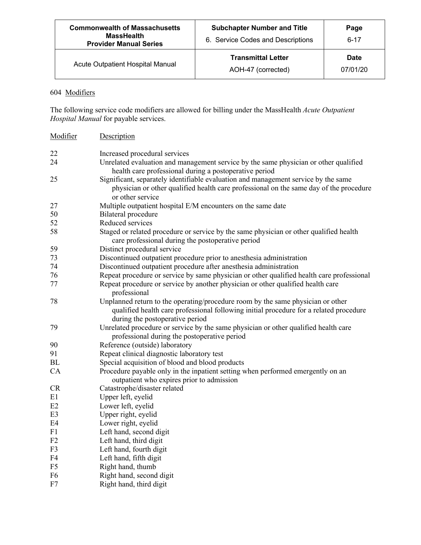| <b>Commonwealth of Massachusetts</b><br><b>MassHealth</b><br><b>Provider Manual Series</b> | <b>Subchapter Number and Title</b><br>6. Service Codes and Descriptions | Page<br>$6 - 17$        |
|--------------------------------------------------------------------------------------------|-------------------------------------------------------------------------|-------------------------|
| Acute Outpatient Hospital Manual                                                           | <b>Transmittal Letter</b><br>AOH-47 (corrected)                         | <b>Date</b><br>07/01/20 |

# 604 Modifiers

The following service code modifiers are allowed for billing under the MassHealth *Acute Outpatient Hospital Manual* for payable services.

| Modifier       | Description                                                                                                                                                                                                  |
|----------------|--------------------------------------------------------------------------------------------------------------------------------------------------------------------------------------------------------------|
| 22             | Increased procedural services                                                                                                                                                                                |
| 24             | Unrelated evaluation and management service by the same physician or other qualified<br>health care professional during a postoperative period                                                               |
| 25             | Significant, separately identifiable evaluation and management service by the same<br>physician or other qualified health care professional on the same day of the procedure<br>or other service             |
| 27             | Multiple outpatient hospital E/M encounters on the same date                                                                                                                                                 |
| 50             | Bilateral procedure                                                                                                                                                                                          |
| 52             | Reduced services                                                                                                                                                                                             |
| 58             | Staged or related procedure or service by the same physician or other qualified health<br>care professional during the postoperative period                                                                  |
| 59             | Distinct procedural service                                                                                                                                                                                  |
| 73             | Discontinued outpatient procedure prior to anesthesia administration                                                                                                                                         |
| 74             | Discontinued outpatient procedure after anesthesia administration                                                                                                                                            |
| 76             | Repeat procedure or service by same physician or other qualified health care professional                                                                                                                    |
| 77             | Repeat procedure or service by another physician or other qualified health care<br>professional                                                                                                              |
| 78             | Unplanned return to the operating/procedure room by the same physician or other<br>qualified health care professional following initial procedure for a related procedure<br>during the postoperative period |
| 79             | Unrelated procedure or service by the same physician or other qualified health care<br>professional during the postoperative period                                                                          |
| 90             | Reference (outside) laboratory                                                                                                                                                                               |
| 91             | Repeat clinical diagnostic laboratory test                                                                                                                                                                   |
| <b>BL</b>      | Special acquisition of blood and blood products                                                                                                                                                              |
| CA             | Procedure payable only in the inpatient setting when performed emergently on an<br>outpatient who expires prior to admission                                                                                 |
| CR             | Catastrophe/disaster related                                                                                                                                                                                 |
| E1             | Upper left, eyelid                                                                                                                                                                                           |
| E2             | Lower left, eyelid                                                                                                                                                                                           |
| E <sub>3</sub> | Upper right, eyelid                                                                                                                                                                                          |
| E4             | Lower right, eyelid                                                                                                                                                                                          |
| F1             | Left hand, second digit                                                                                                                                                                                      |
| F2             | Left hand, third digit                                                                                                                                                                                       |
| F <sub>3</sub> | Left hand, fourth digit                                                                                                                                                                                      |
| F4             | Left hand, fifth digit                                                                                                                                                                                       |
| F <sub>5</sub> | Right hand, thumb                                                                                                                                                                                            |
| F <sub>6</sub> | Right hand, second digit                                                                                                                                                                                     |
| F7             | Right hand, third digit                                                                                                                                                                                      |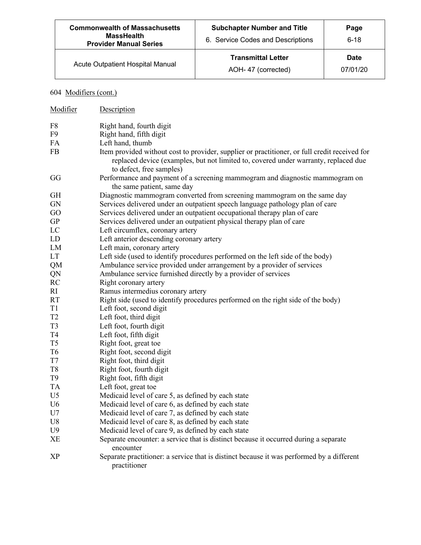| <b>Commonwealth of Massachusetts</b><br><b>MassHealth</b><br><b>Provider Manual Series</b> | <b>Subchapter Number and Title</b><br>6. Service Codes and Descriptions | Page<br>$6 - 18$        |
|--------------------------------------------------------------------------------------------|-------------------------------------------------------------------------|-------------------------|
| Acute Outpatient Hospital Manual                                                           | <b>Transmittal Letter</b><br>AOH-47 (corrected)                         | <b>Date</b><br>07/01/20 |

# 604 Modifiers (cont.)

| Modifier       | Description                                                                                                                                                                                                      |
|----------------|------------------------------------------------------------------------------------------------------------------------------------------------------------------------------------------------------------------|
| F8             | Right hand, fourth digit                                                                                                                                                                                         |
| F9             | Right hand, fifth digit                                                                                                                                                                                          |
| FA             | Left hand, thumb                                                                                                                                                                                                 |
| ${\rm FB}$     | Item provided without cost to provider, supplier or practitioner, or full credit received for<br>replaced device (examples, but not limited to, covered under warranty, replaced due<br>to defect, free samples) |
| GG             | Performance and payment of a screening mammogram and diagnostic mammogram on<br>the same patient, same day                                                                                                       |
| <b>GH</b>      | Diagnostic mammogram converted from screening mammogram on the same day                                                                                                                                          |
| <b>GN</b>      | Services delivered under an outpatient speech language pathology plan of care                                                                                                                                    |
| GO             | Services delivered under an outpatient occupational therapy plan of care                                                                                                                                         |
| <b>GP</b>      | Services delivered under an outpatient physical therapy plan of care                                                                                                                                             |
| LC             | Left circumflex, coronary artery                                                                                                                                                                                 |
| LD             | Left anterior descending coronary artery                                                                                                                                                                         |
| LM             | Left main, coronary artery                                                                                                                                                                                       |
| <b>LT</b>      | Left side (used to identify procedures performed on the left side of the body)                                                                                                                                   |
| QM             | Ambulance service provided under arrangement by a provider of services                                                                                                                                           |
| QN             | Ambulance service furnished directly by a provider of services                                                                                                                                                   |
| RC             | Right coronary artery                                                                                                                                                                                            |
| RI             | Ramus intermedius coronary artery                                                                                                                                                                                |
| <b>RT</b>      | Right side (used to identify procedures performed on the right side of the body)                                                                                                                                 |
| T <sub>1</sub> | Left foot, second digit                                                                                                                                                                                          |
| T <sub>2</sub> | Left foot, third digit                                                                                                                                                                                           |
| T <sub>3</sub> | Left foot, fourth digit                                                                                                                                                                                          |
| T <sub>4</sub> | Left foot, fifth digit                                                                                                                                                                                           |
| T <sub>5</sub> | Right foot, great toe                                                                                                                                                                                            |
| T <sub>6</sub> | Right foot, second digit                                                                                                                                                                                         |
| T7             | Right foot, third digit                                                                                                                                                                                          |
| T <sub>8</sub> | Right foot, fourth digit                                                                                                                                                                                         |
| T <sub>9</sub> | Right foot, fifth digit                                                                                                                                                                                          |
| <b>TA</b>      | Left foot, great toe                                                                                                                                                                                             |
| U <sub>5</sub> | Medicaid level of care 5, as defined by each state                                                                                                                                                               |
| U <sub>6</sub> | Medicaid level of care 6, as defined by each state                                                                                                                                                               |
| U7             | Medicaid level of care 7, as defined by each state                                                                                                                                                               |
| U8             | Medicaid level of care 8, as defined by each state                                                                                                                                                               |
| U <sub>9</sub> | Medicaid level of care 9, as defined by each state                                                                                                                                                               |
| XЕ             | Separate encounter: a service that is distinct because it occurred during a separate<br>encounter                                                                                                                |
| XP             | Separate practitioner: a service that is distinct because it was performed by a different<br>practitioner                                                                                                        |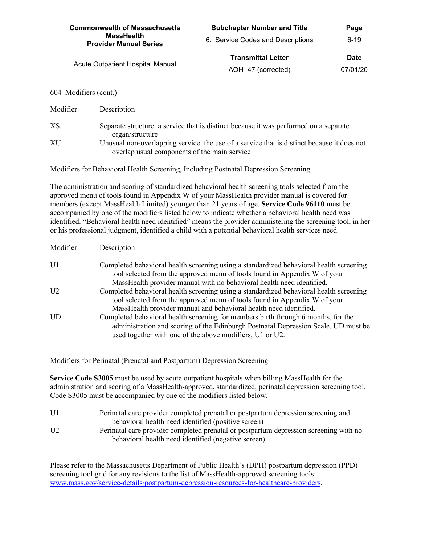| <b>Commonwealth of Massachusetts</b><br><b>MassHealth</b><br><b>Provider Manual Series</b> | <b>Subchapter Number and Title</b><br>6. Service Codes and Descriptions | Page<br>$6 - 19$        |
|--------------------------------------------------------------------------------------------|-------------------------------------------------------------------------|-------------------------|
| <b>Acute Outpatient Hospital Manual</b>                                                    | <b>Transmittal Letter</b><br>AOH-47 (corrected)                         | <b>Date</b><br>07/01/20 |

#### 604 Modifiers (cont.)

| Modifier | Description                                                                                                                                |
|----------|--------------------------------------------------------------------------------------------------------------------------------------------|
| XS       | Separate structure: a service that is distinct because it was performed on a separate<br>organ/structure                                   |
| XU       | Unusual non-overlapping service: the use of a service that is distinct because it does not<br>overlap usual components of the main service |

#### Modifiers for Behavioral Health Screening, Including Postnatal Depression Screening

The administration and scoring of standardized behavioral health screening tools selected from the approved menu of tools found in Appendix W of your MassHealth provider manual is covered for members (except MassHealth Limited) younger than 21 years of age. **Service Code 96110** must be accompanied by one of the modifiers listed below to indicate whether a behavioral health need was identified. "Behavioral health need identified" means the provider administering the screening tool, in her or his professional judgment, identified a child with a potential behavioral health services need.

| Modifier       | Description                                                                                                                                                         |
|----------------|---------------------------------------------------------------------------------------------------------------------------------------------------------------------|
| U <sub>1</sub> | Completed behavioral health screening using a standardized behavioral health screening<br>tool selected from the approved menu of tools found in Appendix W of your |
|                | MassHealth provider manual with no behavioral health need identified.                                                                                               |
| U <sub>2</sub> | Completed behavioral health screening using a standardized behavioral health screening                                                                              |
|                | tool selected from the approved menu of tools found in Appendix W of your                                                                                           |
|                | MassHealth provider manual and behavioral health need identified.                                                                                                   |
| <b>UD</b>      | Completed behavioral health screening for members birth through 6 months, for the                                                                                   |
|                | administration and scoring of the Edinburgh Postnatal Depression Scale. UD must be<br>used together with one of the above modifiers, U1 or U2.                      |
|                |                                                                                                                                                                     |

Modifiers for Perinatal (Prenatal and Postpartum) Depression Screening

**Service Code S3005** must be used by acute outpatient hospitals when billing MassHealth for the administration and scoring of a MassHealth-approved, standardized, perinatal depression screening tool. Code S3005 must be accompanied by one of the modifiers listed below.

| U1             | Perinatal care provider completed prenatal or postpartum depression screening and     |
|----------------|---------------------------------------------------------------------------------------|
|                | behavioral health need identified (positive screen)                                   |
| U <sub>2</sub> | Perinatal care provider completed prenatal or postpartum depression screening with no |
|                | behavioral health need identified (negative screen)                                   |

Please refer to the Massachusetts Department of Public Health's (DPH) postpartum depression (PPD) screening tool grid for any revisions to the list of MassHealth-approved screening tools: www.mass.gov/service-details/postpartum-depression-resources-for-healthcare-providers.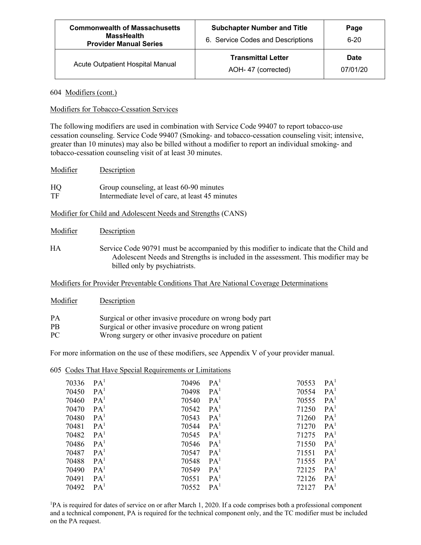| <b>Commonwealth of Massachusetts</b><br><b>MassHealth</b><br><b>Provider Manual Series</b> | <b>Subchapter Number and Title</b><br>6. Service Codes and Descriptions | Page<br>$6 - 20$        |
|--------------------------------------------------------------------------------------------|-------------------------------------------------------------------------|-------------------------|
| Acute Outpatient Hospital Manual                                                           | <b>Transmittal Letter</b><br>AOH-47 (corrected)                         | <b>Date</b><br>07/01/20 |

#### 604 Modifiers (cont.)

#### Modifiers for Tobacco-Cessation Services

The following modifiers are used in combination with Service Code 99407 to report tobacco-use cessation counseling. Service Code 99407 (Smoking- and tobacco-cessation counseling visit; intensive, greater than 10 minutes) may also be billed without a modifier to report an individual smoking- and tobacco-cessation counseling visit of at least 30 minutes.

| Modifier | Description                                     |
|----------|-------------------------------------------------|
| HQ       | Group counseling, at least 60-90 minutes        |
| TF       | Intermediate level of care, at least 45 minutes |

Modifier for Child and Adolescent Needs and Strengths (CANS)

| Modifier | Description |
|----------|-------------|
|          |             |

HA Service Code 90791 must be accompanied by this modifier to indicate that the Child and Adolescent Needs and Strengths is included in the assessment. This modifier may be billed only by psychiatrists.

Modifiers for Provider Preventable Conditions That Are National Coverage Determinations

| Modifier  | Description                                             |
|-----------|---------------------------------------------------------|
| <b>PA</b> | Surgical or other invasive procedure on wrong body part |
| <b>PB</b> | Surgical or other invasive procedure on wrong patient   |
| PC.       | Wrong surgery or other invasive procedure on patient    |

For more information on the use of these modifiers, see Appendix V of your provider manual.

|       | 605 Codes That Have Special Requirements or Limitations |       |                 |       |                 |
|-------|---------------------------------------------------------|-------|-----------------|-------|-----------------|
| 70336 | PA <sup>1</sup>                                         | 70496 | PA <sup>1</sup> | 70553 | PA <sup>T</sup> |
| 70450 | PA <sup>1</sup>                                         | 70498 | PA <sup>1</sup> | 70554 | PA <sup>1</sup> |
| 70460 | PA <sup>1</sup>                                         | 70540 | PA <sup>1</sup> | 70555 | PA <sup>1</sup> |
| 70470 | PA <sup>1</sup>                                         | 70542 | PA <sup>1</sup> | 71250 | PA <sup>1</sup> |
| 70480 | PA <sup>1</sup>                                         | 70543 | PA <sup>1</sup> | 71260 | PA <sup>1</sup> |
| 70481 | PA <sup>1</sup>                                         | 70544 | PA <sup>1</sup> | 71270 | PA <sup>1</sup> |
| 70482 | PA <sup>1</sup>                                         | 70545 | PA <sup>1</sup> | 71275 | PA <sup>1</sup> |
| 70486 | PA <sup>1</sup>                                         | 70546 | PA <sup>1</sup> | 71550 | PA <sup>1</sup> |
| 70487 | PA <sup>1</sup>                                         | 70547 | PA <sup>1</sup> | 71551 | PA <sup>1</sup> |
| 70488 | PA <sup>1</sup>                                         | 70548 | PA <sup>1</sup> | 71555 | PA <sup>1</sup> |
| 70490 | PA <sup>1</sup>                                         | 70549 | PA <sup>1</sup> | 72125 | PA <sup>1</sup> |
| 70491 | PA <sup>1</sup>                                         | 70551 | PA <sup>1</sup> | 72126 | PA <sup>1</sup> |
| 70492 | PA <sup>1</sup>                                         | 70552 | PA <sup>1</sup> | 72127 | PA <sup>1</sup> |

<sup>1</sup>PA is required for dates of service on or after March 1, 2020. If a code comprises both a professional component and a technical component, PA is required for the technical component only, and the TC modifier must be included on the PA request.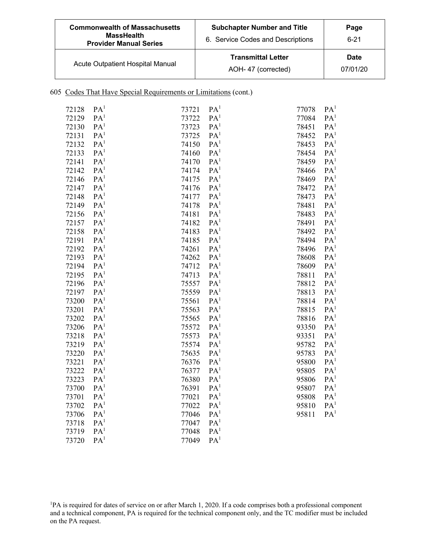| <b>Commonwealth of Massachusetts</b><br><b>MassHealth</b><br><b>Provider Manual Series</b> | <b>Subchapter Number and Title</b><br>6. Service Codes and Descriptions | Page<br>$6 - 21$ |  |
|--------------------------------------------------------------------------------------------|-------------------------------------------------------------------------|------------------|--|
| Acute Outpatient Hospital Manual                                                           | <b>Transmittal Letter</b><br>AOH-47 (corrected)                         | Date<br>07/01/20 |  |

### 605 Codes That Have Special Requirements or Limitations (cont.)

| 72128 | PA <sup>1</sup> | 73721 | PA <sup>1</sup> | 77078 | PA <sup>1</sup> |
|-------|-----------------|-------|-----------------|-------|-----------------|
| 72129 | PA <sup>1</sup> | 73722 | PA <sup>1</sup> | 77084 | PA <sup>1</sup> |
| 72130 | PA <sup>1</sup> | 73723 | PA <sup>1</sup> | 78451 | PA <sup>1</sup> |
| 72131 | PA <sup>1</sup> | 73725 | PA <sup>1</sup> | 78452 | PA <sup>1</sup> |
| 72132 | PA <sup>1</sup> | 74150 | PA <sup>1</sup> | 78453 | PA <sup>1</sup> |
| 72133 | PA <sup>1</sup> | 74160 | PA <sup>1</sup> | 78454 | PA <sup>1</sup> |
| 72141 | PA <sup>1</sup> | 74170 | PA <sup>1</sup> | 78459 | PA <sup>1</sup> |
| 72142 | PA <sup>1</sup> | 74174 | PA <sup>1</sup> | 78466 | PA <sup>1</sup> |
| 72146 | PA <sup>1</sup> | 74175 | PA <sup>1</sup> | 78469 | PA <sup>1</sup> |
| 72147 | PA <sup>1</sup> | 74176 | PA <sup>1</sup> | 78472 | PA <sup>1</sup> |
| 72148 | PA <sup>1</sup> | 74177 | PA <sup>1</sup> | 78473 | PA <sup>1</sup> |
| 72149 | PA <sup>1</sup> | 74178 | PA <sup>1</sup> | 78481 | PA <sup>1</sup> |
| 72156 | PA <sup>1</sup> | 74181 | PA <sup>1</sup> | 78483 | PA <sup>1</sup> |
| 72157 | PA <sup>1</sup> | 74182 | PA <sup>1</sup> | 78491 | PA <sup>1</sup> |
| 72158 | PA <sup>1</sup> | 74183 | PA <sup>1</sup> | 78492 | PA <sup>1</sup> |
| 72191 | PA <sup>1</sup> | 74185 | PA <sup>1</sup> | 78494 | PA <sup>1</sup> |
| 72192 | PA <sup>1</sup> | 74261 | PA <sup>1</sup> | 78496 | PA <sup>1</sup> |
| 72193 | PA <sup>1</sup> | 74262 | PA <sup>1</sup> | 78608 | PA <sup>1</sup> |
| 72194 | PA <sup>1</sup> | 74712 | PA <sup>1</sup> | 78609 | PA <sup>1</sup> |
| 72195 | PA <sup>1</sup> | 74713 | PA <sup>1</sup> | 78811 | PA <sup>1</sup> |
| 72196 | PA <sup>1</sup> | 75557 | PA <sup>1</sup> | 78812 | PA <sup>1</sup> |
| 72197 | PA <sup>1</sup> | 75559 | PA <sup>1</sup> | 78813 | PA <sup>1</sup> |
| 73200 | PA <sup>1</sup> | 75561 | PA <sup>1</sup> | 78814 | PA <sup>1</sup> |
| 73201 | PA <sup>1</sup> | 75563 | PA <sup>1</sup> | 78815 | PA <sup>1</sup> |
| 73202 | PA <sup>1</sup> | 75565 | PA <sup>1</sup> | 78816 | PA <sup>1</sup> |
| 73206 | PA <sup>1</sup> | 75572 | PA <sup>1</sup> | 93350 | PA <sup>1</sup> |
| 73218 | PA <sup>1</sup> | 75573 | PA <sup>1</sup> | 93351 | PA <sup>1</sup> |
| 73219 | PA <sup>1</sup> | 75574 | PA <sup>1</sup> | 95782 | PA <sup>1</sup> |
| 73220 | PA <sup>1</sup> | 75635 | PA <sup>1</sup> | 95783 | PA <sup>1</sup> |
| 73221 | PA <sup>1</sup> | 76376 | PA <sup>1</sup> | 95800 | PA <sup>1</sup> |
| 73222 | PA <sup>1</sup> | 76377 | PA <sup>1</sup> | 95805 | PA <sup>1</sup> |
| 73223 | PA <sup>1</sup> | 76380 | PA <sup>1</sup> | 95806 | PA <sup>1</sup> |
| 73700 | PA <sup>1</sup> | 76391 | PA <sup>1</sup> | 95807 | PA <sup>1</sup> |
| 73701 | PA <sup>1</sup> | 77021 | PA <sup>1</sup> | 95808 | PA <sup>1</sup> |
| 73702 | PA <sup>1</sup> | 77022 | PA <sup>1</sup> | 95810 | PA <sup>1</sup> |
| 73706 | PA <sup>1</sup> | 77046 | PA <sup>1</sup> | 95811 | PA <sup>1</sup> |
| 73718 | PA <sup>1</sup> | 77047 | PA <sup>1</sup> |       |                 |
| 73719 | PA <sup>1</sup> | 77048 | PA <sup>1</sup> |       |                 |
| 73720 | PA <sup>1</sup> | 77049 | PA <sup>1</sup> |       |                 |

<sup>1</sup>PA is required for dates of service on or after March 1, 2020. If a code comprises both a professional component and a technical component, PA is required for the technical component only, and the TC modifier must be included on the PA request.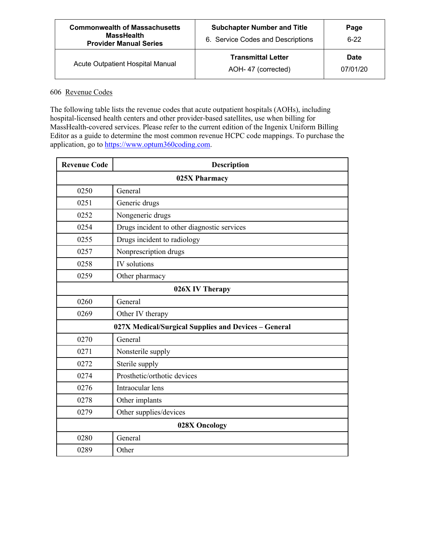| <b>Commonwealth of Massachusetts</b><br><b>MassHealth</b><br><b>Provider Manual Series</b> | <b>Subchapter Number and Title</b><br>6. Service Codes and Descriptions | Page<br>$6-22$          |
|--------------------------------------------------------------------------------------------|-------------------------------------------------------------------------|-------------------------|
| Acute Outpatient Hospital Manual                                                           | <b>Transmittal Letter</b><br>AOH-47 (corrected)                         | <b>Date</b><br>07/01/20 |

### 606 Revenue Codes

The following table lists the revenue codes that acute outpatient hospitals (AOHs), including hospital-licensed health centers and other provider-based satellites, use when billing for MassHealth-covered services. Please refer to the current edition of the Ingenix Uniform Billing Editor as a guide to determine the most common revenue HCPC code mappings. To purchase the application, go to https://www.optum360coding.com.

| <b>Revenue Code</b> | <b>Description</b>                                   |  |
|---------------------|------------------------------------------------------|--|
| 025X Pharmacy       |                                                      |  |
| 0250                | General                                              |  |
| 0251                | Generic drugs                                        |  |
| 0252                | Nongeneric drugs                                     |  |
| 0254                | Drugs incident to other diagnostic services          |  |
| 0255                | Drugs incident to radiology                          |  |
| 0257                | Nonprescription drugs                                |  |
| 0258                | IV solutions                                         |  |
| 0259                | Other pharmacy                                       |  |
| 026X IV Therapy     |                                                      |  |
| 0260                | General                                              |  |
| 0269                | Other IV therapy                                     |  |
|                     | 027X Medical/Surgical Supplies and Devices - General |  |
| 0270                | General                                              |  |
| 0271                | Nonsterile supply                                    |  |
| 0272                | Sterile supply                                       |  |
| 0274                | Prosthetic/orthotic devices                          |  |
| 0276                | Intraocular lens                                     |  |
| 0278                | Other implants                                       |  |
| 0279                | Other supplies/devices                               |  |
| 028X Oncology       |                                                      |  |
| 0280                | General                                              |  |
| 0289                | Other                                                |  |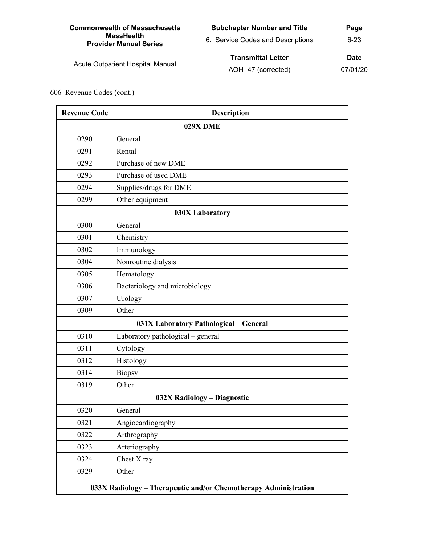| <b>Commonwealth of Massachusetts</b><br><b>MassHealth</b><br><b>Provider Manual Series</b> | <b>Subchapter Number and Title</b><br>6. Service Codes and Descriptions | Page<br>$6 - 23$        |
|--------------------------------------------------------------------------------------------|-------------------------------------------------------------------------|-------------------------|
| Acute Outpatient Hospital Manual                                                           | <b>Transmittal Letter</b><br>AOH-47 (corrected)                         | <b>Date</b><br>07/01/20 |

| <b>Revenue Code</b>                                             | <b>Description</b>                     |  |
|-----------------------------------------------------------------|----------------------------------------|--|
| 029X DME                                                        |                                        |  |
| 0290                                                            | General                                |  |
| 0291                                                            | Rental                                 |  |
| 0292                                                            | Purchase of new DME                    |  |
| 0293                                                            | Purchase of used DME                   |  |
| 0294                                                            | Supplies/drugs for DME                 |  |
| 0299                                                            | Other equipment                        |  |
|                                                                 | 030X Laboratory                        |  |
| 0300                                                            | General                                |  |
| 0301                                                            | Chemistry                              |  |
| 0302                                                            | Immunology                             |  |
| 0304                                                            | Nonroutine dialysis                    |  |
| 0305                                                            | Hematology                             |  |
| 0306                                                            | Bacteriology and microbiology          |  |
| 0307                                                            | Urology                                |  |
| 0309                                                            | Other                                  |  |
|                                                                 | 031X Laboratory Pathological - General |  |
| 0310                                                            | Laboratory pathological - general      |  |
| 0311                                                            | Cytology                               |  |
| 0312                                                            | Histology                              |  |
| 0314                                                            | Biopsy                                 |  |
| 0319                                                            | Other                                  |  |
|                                                                 | 032X Radiology - Diagnostic            |  |
| 0320                                                            | General                                |  |
| 0321                                                            | Angiocardiography                      |  |
| 0322                                                            | Arthrography                           |  |
| 0323                                                            | Arteriography                          |  |
| 0324                                                            | Chest X ray                            |  |
| 0329                                                            | Other                                  |  |
| 033X Radiology - Therapeutic and/or Chemotherapy Administration |                                        |  |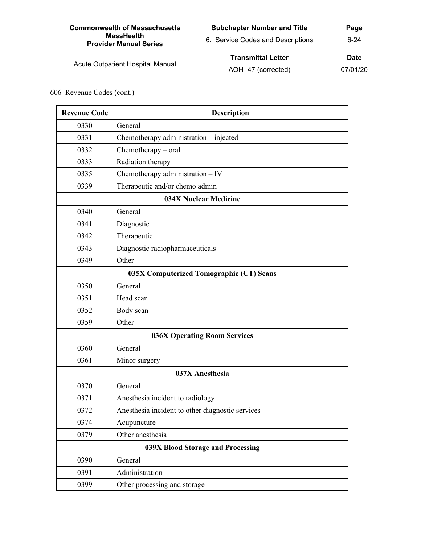| <b>Commonwealth of Massachusetts</b><br><b>MassHealth</b><br><b>Provider Manual Series</b> | <b>Subchapter Number and Title</b><br>6. Service Codes and Descriptions | Page<br>$6-24$          |
|--------------------------------------------------------------------------------------------|-------------------------------------------------------------------------|-------------------------|
| Acute Outpatient Hospital Manual                                                           | <b>Transmittal Letter</b><br>AOH-47 (corrected)                         | <b>Date</b><br>07/01/20 |

| <b>Revenue Code</b>                      | <b>Description</b>                               |  |
|------------------------------------------|--------------------------------------------------|--|
| 0330                                     | General                                          |  |
| 0331                                     | Chemotherapy administration - injected           |  |
| 0332                                     | Chemotherapy - oral                              |  |
| 0333                                     | Radiation therapy                                |  |
| 0335                                     | Chemotherapy administration - IV                 |  |
| 0339                                     | Therapeutic and/or chemo admin                   |  |
|                                          | <b>034X Nuclear Medicine</b>                     |  |
| 0340                                     | General                                          |  |
| 0341                                     | Diagnostic                                       |  |
| 0342                                     | Therapeutic                                      |  |
| 0343                                     | Diagnostic radiopharmaceuticals                  |  |
| 0349                                     | Other                                            |  |
| 035X Computerized Tomographic (CT) Scans |                                                  |  |
| 0350                                     | General                                          |  |
| 0351                                     | Head scan                                        |  |
| 0352                                     | Body scan                                        |  |
| 0359                                     | Other                                            |  |
|                                          | <b>036X Operating Room Services</b>              |  |
| 0360                                     | General                                          |  |
| 0361                                     | Minor surgery                                    |  |
|                                          | 037X Anesthesia                                  |  |
| 0370                                     | General                                          |  |
| 0371                                     | Anesthesia incident to radiology                 |  |
| 0372                                     | Anesthesia incident to other diagnostic services |  |
| 0374                                     | Acupuncture                                      |  |
| 0379                                     | Other anesthesia                                 |  |
| 039X Blood Storage and Processing        |                                                  |  |
| 0390                                     | General                                          |  |
| 0391                                     | Administration                                   |  |
| 0399                                     | Other processing and storage                     |  |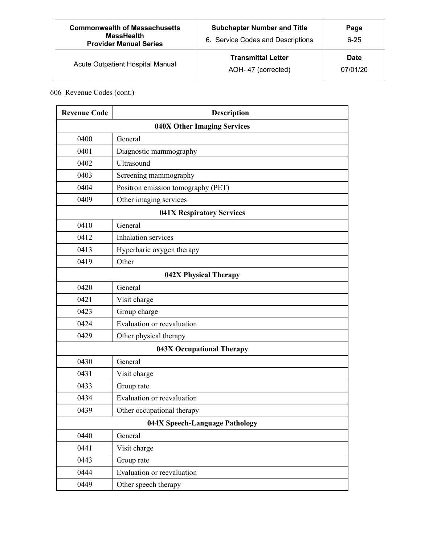| <b>Commonwealth of Massachusetts</b><br><b>MassHealth</b><br><b>Provider Manual Series</b> | <b>Subchapter Number and Title</b><br>6. Service Codes and Descriptions | Page<br>$6 - 25$        |
|--------------------------------------------------------------------------------------------|-------------------------------------------------------------------------|-------------------------|
| Acute Outpatient Hospital Manual                                                           | <b>Transmittal Letter</b><br>AOH-47 (corrected)                         | <b>Date</b><br>07/01/20 |

| <b>Revenue Code</b>            | <b>Description</b>                 |  |
|--------------------------------|------------------------------------|--|
|                                | <b>040X Other Imaging Services</b> |  |
| 0400                           | General                            |  |
| 0401                           | Diagnostic mammography             |  |
| 0402                           | Ultrasound                         |  |
| 0403                           | Screening mammography              |  |
| 0404                           | Positron emission tomography (PET) |  |
| 0409                           | Other imaging services             |  |
|                                | 041X Respiratory Services          |  |
| 0410                           | General                            |  |
| 0412                           | Inhalation services                |  |
| 0413                           | Hyperbaric oxygen therapy          |  |
| 0419                           | Other                              |  |
|                                | 042X Physical Therapy              |  |
| 0420                           | General                            |  |
| 0421                           | Visit charge                       |  |
| 0423                           | Group charge                       |  |
| 0424                           | Evaluation or reevaluation         |  |
| 0429                           | Other physical therapy             |  |
|                                | 043X Occupational Therapy          |  |
| 0430                           | General                            |  |
| 0431                           | Visit charge                       |  |
| 0433                           | Group rate                         |  |
| 0434                           | Evaluation or reevaluation         |  |
| 0439                           | Other occupational therapy         |  |
| 044X Speech-Language Pathology |                                    |  |
| 0440                           | General                            |  |
| 0441                           | Visit charge                       |  |
| 0443                           | Group rate                         |  |
| 0444                           | Evaluation or reevaluation         |  |
| 0449                           | Other speech therapy               |  |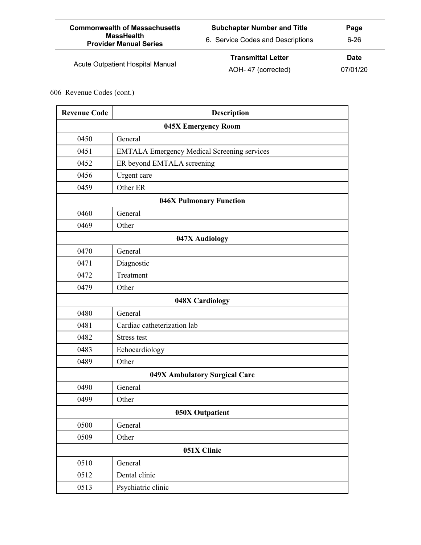| <b>Commonwealth of Massachusetts</b><br><b>MassHealth</b><br><b>Provider Manual Series</b> | <b>Subchapter Number and Title</b><br>6. Service Codes and Descriptions | Page<br>$6 - 26$        |
|--------------------------------------------------------------------------------------------|-------------------------------------------------------------------------|-------------------------|
| Acute Outpatient Hospital Manual                                                           | <b>Transmittal Letter</b><br>AOH-47 (corrected)                         | <b>Date</b><br>07/01/20 |

| <b>Revenue Code</b> | <b>Description</b>                                 |  |
|---------------------|----------------------------------------------------|--|
|                     | 045X Emergency Room                                |  |
| 0450                | General                                            |  |
| 0451                | <b>EMTALA Emergency Medical Screening services</b> |  |
| 0452                | ER beyond EMTALA screening                         |  |
| 0456                | Urgent care                                        |  |
| 0459                | Other ER                                           |  |
|                     | <b>046X Pulmonary Function</b>                     |  |
| 0460                | General                                            |  |
| 0469                | Other                                              |  |
|                     | 047X Audiology                                     |  |
| 0470                | General                                            |  |
| 0471                | Diagnostic                                         |  |
| 0472                | Treatment                                          |  |
| 0479                | Other                                              |  |
|                     | 048X Cardiology                                    |  |
| 0480                | General                                            |  |
| 0481                | Cardiac catheterization lab                        |  |
| 0482                | <b>Stress test</b>                                 |  |
| 0483                | Echocardiology                                     |  |
| 0489                | Other                                              |  |
|                     | 049X Ambulatory Surgical Care                      |  |
| 0490                | General                                            |  |
| 0499                | Other                                              |  |
| 050X Outpatient     |                                                    |  |
| 0500                | General                                            |  |
| 0509                | Other                                              |  |
| 051X Clinic         |                                                    |  |
| 0510                | General                                            |  |
| 0512                | Dental clinic                                      |  |
| 0513                | Psychiatric clinic                                 |  |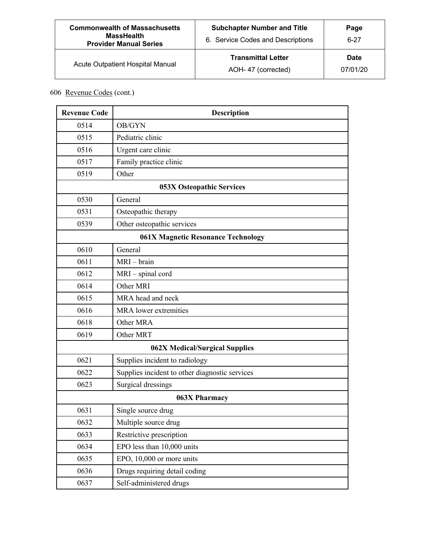| <b>Commonwealth of Massachusetts</b><br><b>MassHealth</b><br><b>Provider Manual Series</b> | <b>Subchapter Number and Title</b><br>6. Service Codes and Descriptions | Page<br>$6 - 27$        |
|--------------------------------------------------------------------------------------------|-------------------------------------------------------------------------|-------------------------|
| Acute Outpatient Hospital Manual                                                           | <b>Transmittal Letter</b><br>AOH-47 (corrected)                         | <b>Date</b><br>07/01/20 |

| <b>Revenue Code</b>                       | Description                                    |  |
|-------------------------------------------|------------------------------------------------|--|
| 0514                                      | OB/GYN                                         |  |
| 0515                                      | Pediatric clinic                               |  |
| 0516                                      | Urgent care clinic                             |  |
| 0517                                      | Family practice clinic                         |  |
| 0519                                      | Other                                          |  |
|                                           | 053X Osteopathic Services                      |  |
| 0530                                      | General                                        |  |
| 0531                                      | Osteopathic therapy                            |  |
| 0539                                      | Other osteopathic services                     |  |
| <b>061X Magnetic Resonance Technology</b> |                                                |  |
| 0610                                      | General                                        |  |
| 0611                                      | MRI-brain                                      |  |
| 0612                                      | MRI - spinal cord                              |  |
| 0614                                      | Other MRI                                      |  |
| 0615                                      | MRA head and neck                              |  |
| 0616                                      | MRA lower extremities                          |  |
| 0618                                      | Other MRA                                      |  |
| 0619                                      | Other MRT                                      |  |
|                                           | 062X Medical/Surgical Supplies                 |  |
| 0621                                      | Supplies incident to radiology                 |  |
| 0622                                      | Supplies incident to other diagnostic services |  |
| 0623                                      | Surgical dressings                             |  |
| 063X Pharmacy                             |                                                |  |
| 0631                                      | Single source drug                             |  |
| 0632                                      | Multiple source drug                           |  |
| 0633                                      | Restrictive prescription                       |  |
| 0634                                      | EPO less than 10,000 units                     |  |
| 0635                                      | EPO, 10,000 or more units                      |  |
| 0636                                      | Drugs requiring detail coding                  |  |
| 0637                                      | Self-administered drugs                        |  |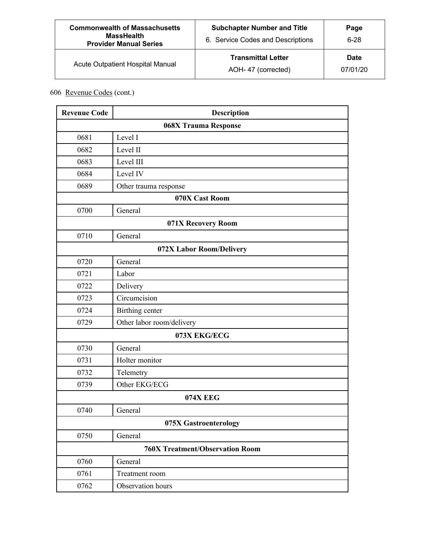| <b>Commonwealth of Massachusetts</b><br><b>MassHealth</b><br><b>Provider Manual Series</b> | <b>Subchapter Number and Title</b><br>6. Service Codes and Descriptions | Page<br>$6-28$          |
|--------------------------------------------------------------------------------------------|-------------------------------------------------------------------------|-------------------------|
| Acute Outpatient Hospital Manual                                                           | <b>Transmittal Letter</b><br>AOH-47 (corrected)                         | <b>Date</b><br>07/01/20 |

| <b>Revenue Code</b>                    | <b>Description</b>        |  |  |
|----------------------------------------|---------------------------|--|--|
|                                        | 068X Trauma Response      |  |  |
| 0681                                   | Level I                   |  |  |
| 0682                                   | Level II                  |  |  |
| 0683                                   | Level III                 |  |  |
| 0684                                   | Level IV                  |  |  |
| 0689                                   | Other trauma response     |  |  |
| 070X Cast Room                         |                           |  |  |
| 0700                                   | General                   |  |  |
| 071X Recovery Room                     |                           |  |  |
| 0710                                   | General                   |  |  |
| 072X Labor Room/Delivery               |                           |  |  |
| 0720                                   | General                   |  |  |
| 0721                                   | Labor                     |  |  |
| 0722                                   | Delivery                  |  |  |
| 0723                                   | Circumcision              |  |  |
| 0724                                   | Birthing center           |  |  |
| 0729                                   | Other labor room/delivery |  |  |
|                                        | 073X EKG/ECG              |  |  |
| 0730                                   | General                   |  |  |
| 0731                                   | Holter monitor            |  |  |
| 0732                                   | Telemetry                 |  |  |
| 0739                                   | Other EKG/ECG             |  |  |
|                                        | <b>074X EEG</b>           |  |  |
| 0740                                   | General                   |  |  |
| 075X Gastroenterology                  |                           |  |  |
| 0750                                   | General                   |  |  |
| <b>760X Treatment/Observation Room</b> |                           |  |  |
| 0760                                   | General                   |  |  |
| 0761                                   | Treatment room            |  |  |
| 0762                                   | Observation hours         |  |  |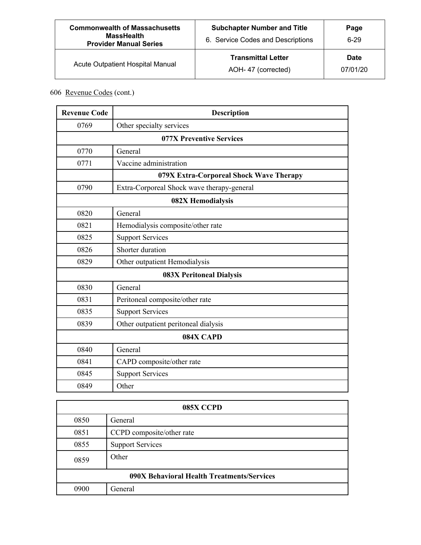| <b>Commonwealth of Massachusetts</b><br><b>MassHealth</b><br><b>Provider Manual Series</b> | <b>Subchapter Number and Title</b><br>6. Service Codes and Descriptions | Page<br>$6 - 29$        |
|--------------------------------------------------------------------------------------------|-------------------------------------------------------------------------|-------------------------|
| Acute Outpatient Hospital Manual                                                           | <b>Transmittal Letter</b><br>AOH-47 (corrected)                         | <b>Date</b><br>07/01/20 |

| <b>Revenue Code</b>      | <b>Description</b>                         |  |
|--------------------------|--------------------------------------------|--|
| 0769                     | Other specialty services                   |  |
| 077X Preventive Services |                                            |  |
| 0770                     | General                                    |  |
| 0771                     | Vaccine administration                     |  |
|                          | 079X Extra-Corporeal Shock Wave Therapy    |  |
| 0790                     | Extra-Corporeal Shock wave therapy-general |  |
| 082X Hemodialysis        |                                            |  |
| 0820                     | General                                    |  |
| 0821                     | Hemodialysis composite/other rate          |  |
| 0825                     | <b>Support Services</b>                    |  |
| 0826                     | Shorter duration                           |  |
| 0829                     | Other outpatient Hemodialysis              |  |
|                          | <b>083X Peritoneal Dialysis</b>            |  |
| 0830                     | General                                    |  |
| 0831                     | Peritoneal composite/other rate            |  |
| 0835                     | <b>Support Services</b>                    |  |
| 0839                     | Other outpatient peritoneal dialysis       |  |
| 084X CAPD                |                                            |  |
| 0840                     | General                                    |  |
| 0841                     | CAPD composite/other rate                  |  |
| 0845                     | <b>Support Services</b>                    |  |
| 0849                     | Other                                      |  |

| 085X CCPD                                  |                           |  |
|--------------------------------------------|---------------------------|--|
| 0850                                       | General                   |  |
| 0851                                       | CCPD composite/other rate |  |
| 0855                                       | <b>Support Services</b>   |  |
| 0859                                       | Other                     |  |
| 090X Behavioral Health Treatments/Services |                           |  |
| 0900                                       | General                   |  |